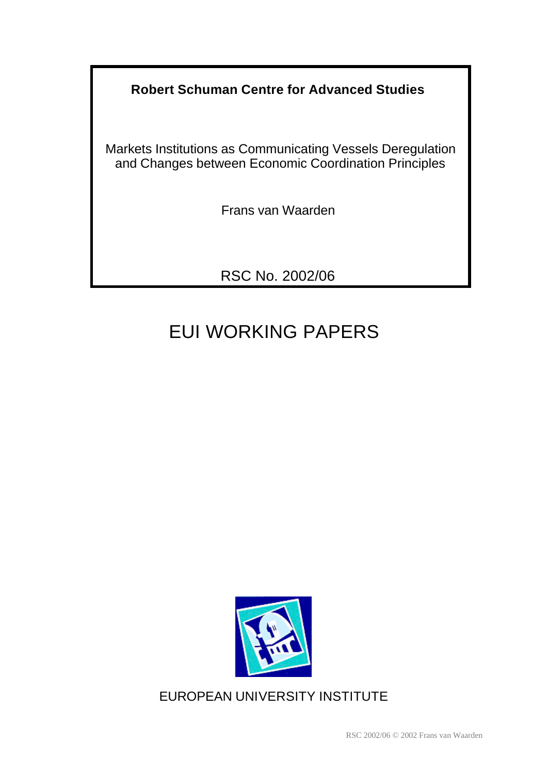# **Robert Schuman Centre for Advanced Studies**

Markets Institutions as Communicating Vessels Deregulation and Changes between Economic Coordination Principles

Frans van Waarden

RSC No. 2002/06

# EUI WORKING PAPERS



EUROPEAN UNIVERSITY INSTITUTE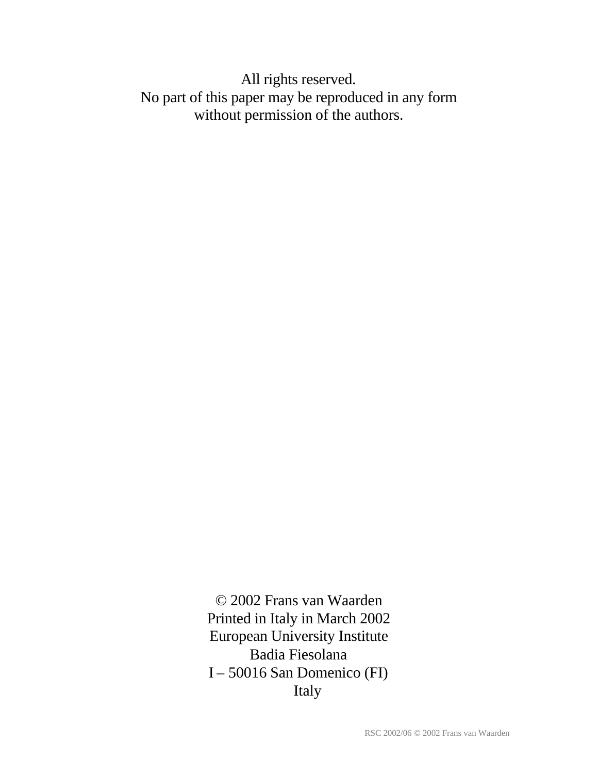All rights reserved. No part of this paper may be reproduced in any form without permission of the authors.

> © 2002 Frans van Waarden Printed in Italy in March 2002 European University Institute Badia Fiesolana I – 50016 San Domenico (FI) Italy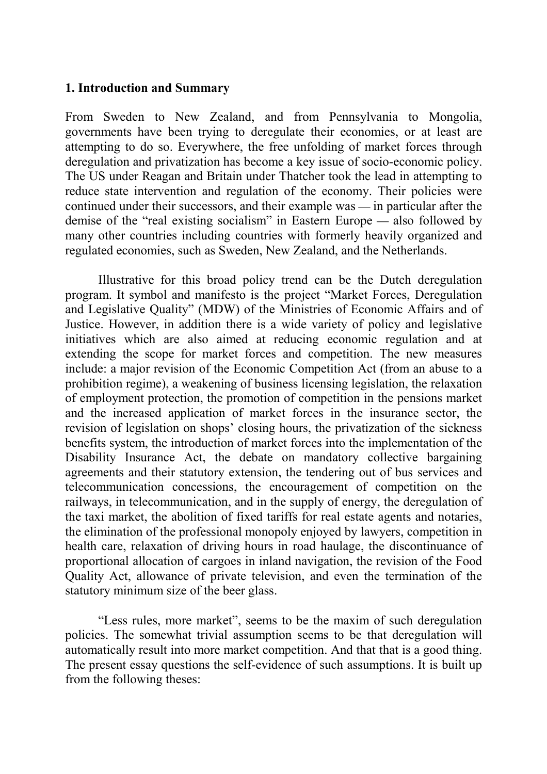#### **1. Introduction and Summary**

From Sweden to New Zealand, and from Pennsylvania to Mongolia, governments have been trying to deregulate their economies, or at least are attempting to do so. Everywhere, the free unfolding of market forces through deregulation and privatization has become a key issue of socio-economic policy. The US under Reagan and Britain under Thatcher took the lead in attempting to reduce state intervention and regulation of the economy. Their policies were continued under their successors, and their example was  $-$  in particular after the demise of the "real existing socialism" in Eastern Europe — also followed by many other countries including countries with formerly heavily organized and regulated economies, such as Sweden, New Zealand, and the Netherlands.

Illustrative for this broad policy trend can be the Dutch deregulation program. It symbol and manifesto is the project "Market Forces, Deregulation and Legislative Quality" (MDW) of the Ministries of Economic Affairs and of Justice. However, in addition there is a wide variety of policy and legislative initiatives which are also aimed at reducing economic regulation and at extending the scope for market forces and competition. The new measures include: a major revision of the Economic Competition Act (from an abuse to a prohibition regime), a weakening of business licensing legislation, the relaxation of employment protection, the promotion of competition in the pensions market and the increased application of market forces in the insurance sector, the revision of legislation on shops' closing hours, the privatization of the sickness benefits system, the introduction of market forces into the implementation of the Disability Insurance Act, the debate on mandatory collective bargaining agreements and their statutory extension, the tendering out of bus services and telecommunication concessions, the encouragement of competition on the railways, in telecommunication, and in the supply of energy, the deregulation of the taxi market, the abolition of fixed tariffs for real estate agents and notaries, the elimination of the professional monopoly enjoyed by lawyers, competition in health care, relaxation of driving hours in road haulage, the discontinuance of proportional allocation of cargoes in inland navigation, the revision of the Food Quality Act, allowance of private television, and even the termination of the statutory minimum size of the beer glass.

"Less rules, more market", seems to be the maxim of such deregulation policies. The somewhat trivial assumption seems to be that deregulation will automatically result into more market competition. And that that is a good thing. The present essay questions the self-evidence of such assumptions. It is built up from the following theses: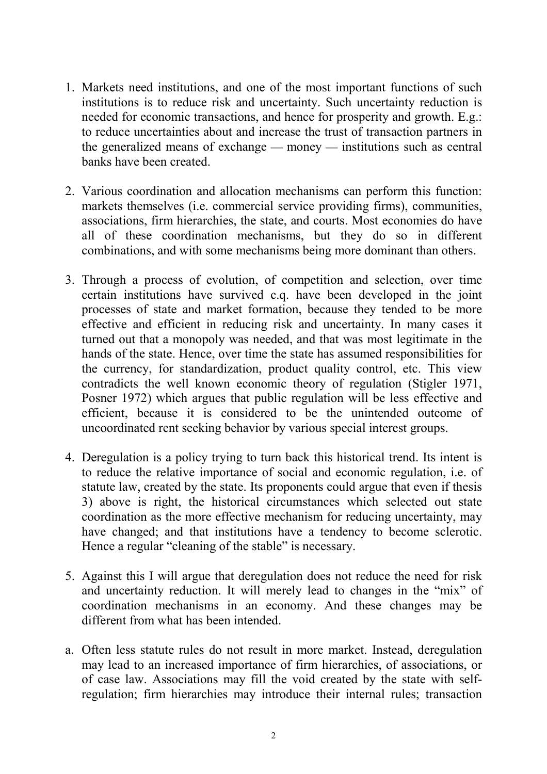- 1. Markets need institutions, and one of the most important functions of such institutions is to reduce risk and uncertainty. Such uncertainty reduction is needed for economic transactions, and hence for prosperity and growth. E.g.: to reduce uncertainties about and increase the trust of transaction partners in the generalized means of exchange  $-$  money  $-$  institutions such as central banks have been created.
- 2. Various coordination and allocation mechanisms can perform this function: markets themselves (i.e. commercial service providing firms), communities, associations, firm hierarchies, the state, and courts. Most economies do have all of these coordination mechanisms, but they do so in different combinations, and with some mechanisms being more dominant than others.
- 3. Through a process of evolution, of competition and selection, over time certain institutions have survived c.q. have been developed in the joint processes of state and market formation, because they tended to be more effective and efficient in reducing risk and uncertainty. In many cases it turned out that a monopoly was needed, and that was most legitimate in the hands of the state. Hence, over time the state has assumed responsibilities for the currency, for standardization, product quality control, etc. This view contradicts the well known economic theory of regulation (Stigler 1971, Posner 1972) which argues that public regulation will be less effective and efficient, because it is considered to be the unintended outcome of uncoordinated rent seeking behavior by various special interest groups.
- 4. Deregulation is a policy trying to turn back this historical trend. Its intent is to reduce the relative importance of social and economic regulation, i.e. of statute law, created by the state. Its proponents could argue that even if thesis 3) above is right, the historical circumstances which selected out state coordination as the more effective mechanism for reducing uncertainty, may have changed; and that institutions have a tendency to become sclerotic. Hence a regular "cleaning of the stable" is necessary.
- 5. Against this I will argue that deregulation does not reduce the need for risk and uncertainty reduction. It will merely lead to changes in the "mix" of coordination mechanisms in an economy. And these changes may be different from what has been intended.
- a. Often less statute rules do not result in more market. Instead, deregulation may lead to an increased importance of firm hierarchies, of associations, or of case law. Associations may fill the void created by the state with selfregulation; firm hierarchies may introduce their internal rules; transaction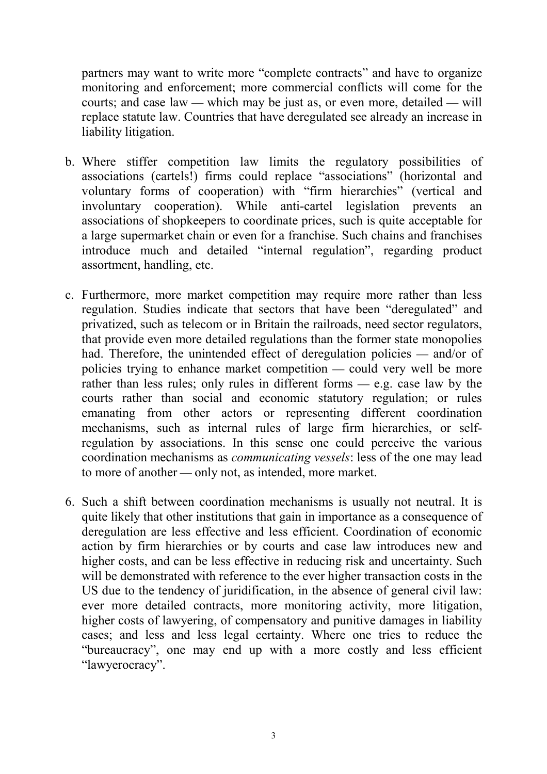partners may want to write more "complete contracts" and have to organize monitoring and enforcement; more commercial conflicts will come for the courts; and case law — which may be just as, or even more, detailed — will replace statute law. Countries that have deregulated see already an increase in liability litigation.

- b. Where stiffer competition law limits the regulatory possibilities of associations (cartels!) firms could replace "associations" (horizontal and voluntary forms of cooperation) with "firm hierarchies" (vertical and involuntary cooperation). While anti-cartel legislation prevents an associations of shopkeepers to coordinate prices, such is quite acceptable for a large supermarket chain or even for a franchise. Such chains and franchises introduce much and detailed "internal regulation", regarding product assortment, handling, etc.
- c. Furthermore, more market competition may require more rather than less regulation. Studies indicate that sectors that have been "deregulated" and privatized, such as telecom or in Britain the railroads, need sector regulators, that provide even more detailed regulations than the former state monopolies had. Therefore, the unintended effect of deregulation policies  $-$  and/or of policies trying to enhance market competition  $\frac{du}{dx}$  could very well be more rather than less rules; only rules in different forms  $-$  e.g. case law by the courts rather than social and economic statutory regulation; or rules emanating from other actors or representing different coordination mechanisms, such as internal rules of large firm hierarchies, or selfregulation by associations. In this sense one could perceive the various coordination mechanisms as *communicating vessels*: less of the one may lead to more of another — only not, as intended, more market.
- 6. Such a shift between coordination mechanisms is usually not neutral. It is quite likely that other institutions that gain in importance as a consequence of deregulation are less effective and less efficient. Coordination of economic action by firm hierarchies or by courts and case law introduces new and higher costs, and can be less effective in reducing risk and uncertainty. Such will be demonstrated with reference to the ever higher transaction costs in the US due to the tendency of juridification, in the absence of general civil law: ever more detailed contracts, more monitoring activity, more litigation, higher costs of lawyering, of compensatory and punitive damages in liability cases; and less and less legal certainty. Where one tries to reduce the "bureaucracy", one may end up with a more costly and less efficient "lawyerocracy".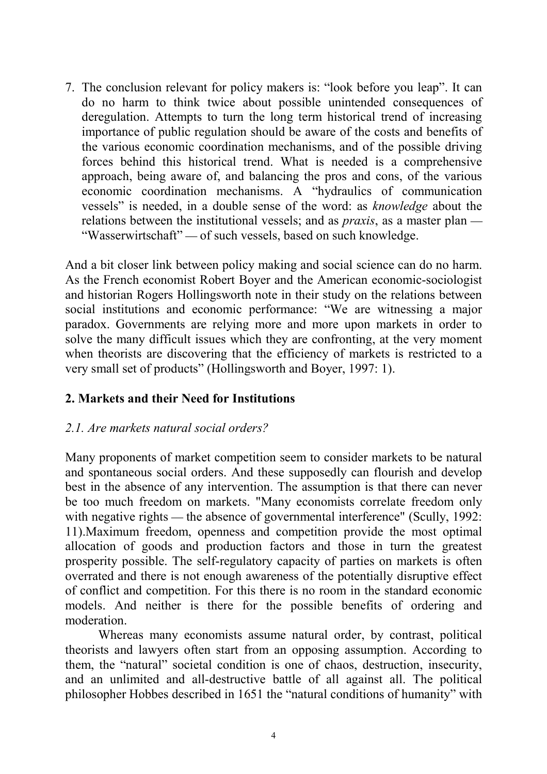7. The conclusion relevant for policy makers is: "look before you leap". It can do no harm to think twice about possible unintended consequences of deregulation. Attempts to turn the long term historical trend of increasing importance of public regulation should be aware of the costs and benefits of the various economic coordination mechanisms, and of the possible driving forces behind this historical trend. What is needed is a comprehensive approach, being aware of, and balancing the pros and cons, of the various economic coordination mechanisms. A "hydraulics of communication vessels" is needed, in a double sense of the word: as *knowledge* about the relations between the institutional vessels; and as *praxis*, as a master plan "Wasserwirtschaft" — of such vessels, based on such knowledge.

And a bit closer link between policy making and social science can do no harm. As the French economist Robert Boyer and the American economic-sociologist and historian Rogers Hollingsworth note in their study on the relations between social institutions and economic performance: "We are witnessing a major paradox. Governments are relying more and more upon markets in order to solve the many difficult issues which they are confronting, at the very moment when theorists are discovering that the efficiency of markets is restricted to a very small set of products" (Hollingsworth and Boyer, 1997: 1).

# **2. Markets and their Need for Institutions**

# *2.1. Are markets natural social orders?*

Many proponents of market competition seem to consider markets to be natural and spontaneous social orders. And these supposedly can flourish and develop best in the absence of any intervention. The assumption is that there can never be too much freedom on markets. "Many economists correlate freedom only with negative rights  $-$  the absence of governmental interference" (Scully, 1992: 11).Maximum freedom, openness and competition provide the most optimal allocation of goods and production factors and those in turn the greatest prosperity possible. The self-regulatory capacity of parties on markets is often overrated and there is not enough awareness of the potentially disruptive effect of conflict and competition. For this there is no room in the standard economic models. And neither is there for the possible benefits of ordering and moderation.

Whereas many economists assume natural order, by contrast, political theorists and lawyers often start from an opposing assumption. According to them, the "natural" societal condition is one of chaos, destruction, insecurity, and an unlimited and all-destructive battle of all against all. The political philosopher Hobbes described in 1651 the "natural conditions of humanity" with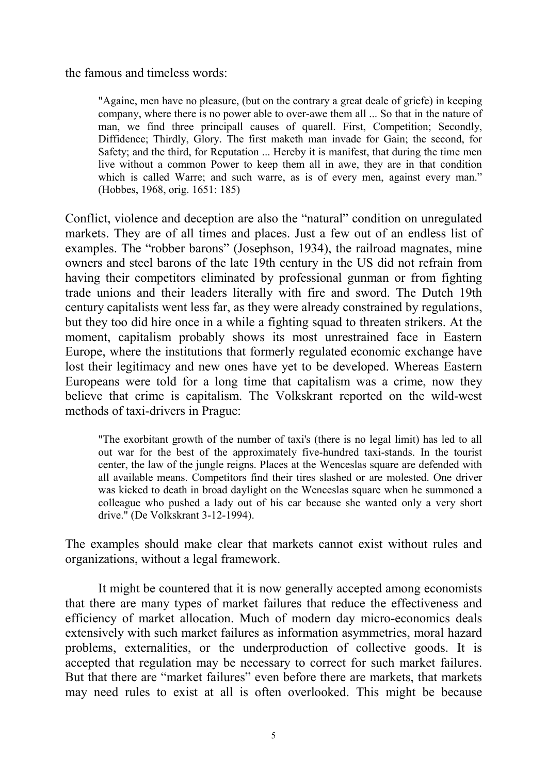the famous and timeless words:

"Againe, men have no pleasure, (but on the contrary a great deale of griefe) in keeping company, where there is no power able to over-awe them all ... So that in the nature of man, we find three principall causes of quarell. First, Competition; Secondly, Diffidence; Thirdly, Glory. The first maketh man invade for Gain; the second, for Safety; and the third, for Reputation ... Hereby it is manifest, that during the time men live without a common Power to keep them all in awe, they are in that condition which is called Warre; and such warre, as is of every men, against every man." (Hobbes, 1968, orig. 1651: 185)

Conflict, violence and deception are also the "natural" condition on unregulated markets. They are of all times and places. Just a few out of an endless list of examples. The "robber barons" (Josephson, 1934), the railroad magnates, mine owners and steel barons of the late 19th century in the US did not refrain from having their competitors eliminated by professional gunman or from fighting trade unions and their leaders literally with fire and sword. The Dutch 19th century capitalists went less far, as they were already constrained by regulations, but they too did hire once in a while a fighting squad to threaten strikers. At the moment, capitalism probably shows its most unrestrained face in Eastern Europe, where the institutions that formerly regulated economic exchange have lost their legitimacy and new ones have yet to be developed. Whereas Eastern Europeans were told for a long time that capitalism was a crime, now they believe that crime is capitalism. The Volkskrant reported on the wild-west methods of taxi-drivers in Prague:

"The exorbitant growth of the number of taxi's (there is no legal limit) has led to all out war for the best of the approximately five-hundred taxi-stands. In the tourist center, the law of the jungle reigns. Places at the Wenceslas square are defended with all available means. Competitors find their tires slashed or are molested. One driver was kicked to death in broad daylight on the Wenceslas square when he summoned a colleague who pushed a lady out of his car because she wanted only a very short drive." (De Volkskrant 3-12-1994).

The examples should make clear that markets cannot exist without rules and organizations, without a legal framework.

It might be countered that it is now generally accepted among economists that there are many types of market failures that reduce the effectiveness and efficiency of market allocation. Much of modern day micro-economics deals extensively with such market failures as information asymmetries, moral hazard problems, externalities, or the underproduction of collective goods. It is accepted that regulation may be necessary to correct for such market failures. But that there are "market failures" even before there are markets, that markets may need rules to exist at all is often overlooked. This might be because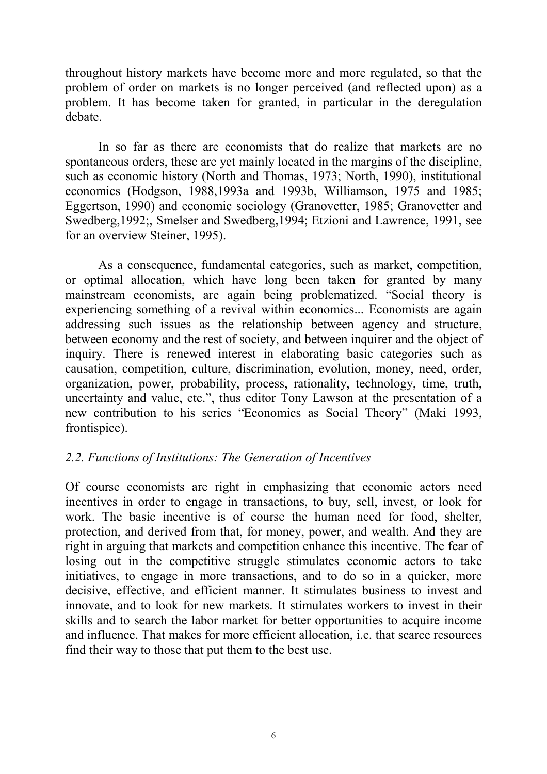throughout history markets have become more and more regulated, so that the problem of order on markets is no longer perceived (and reflected upon) as a problem. It has become taken for granted, in particular in the deregulation debate.

In so far as there are economists that do realize that markets are no spontaneous orders, these are yet mainly located in the margins of the discipline, such as economic history (North and Thomas, 1973; North, 1990), institutional economics (Hodgson, 1988,1993a and 1993b, Williamson, 1975 and 1985; Eggertson, 1990) and economic sociology (Granovetter, 1985; Granovetter and Swedberg,1992;, Smelser and Swedberg,1994; Etzioni and Lawrence, 1991, see for an overview Steiner, 1995).

As a consequence, fundamental categories, such as market, competition, or optimal allocation, which have long been taken for granted by many mainstream economists, are again being problematized. "Social theory is experiencing something of a revival within economics... Economists are again addressing such issues as the relationship between agency and structure, between economy and the rest of society, and between inquirer and the object of inquiry. There is renewed interest in elaborating basic categories such as causation, competition, culture, discrimination, evolution, money, need, order, organization, power, probability, process, rationality, technology, time, truth, uncertainty and value, etc.", thus editor Tony Lawson at the presentation of a new contribution to his series "Economics as Social Theory" (Maki 1993, frontispice).

# *2.2. Functions of Institutions: The Generation of Incentives*

Of course economists are right in emphasizing that economic actors need incentives in order to engage in transactions, to buy, sell, invest, or look for work. The basic incentive is of course the human need for food, shelter, protection, and derived from that, for money, power, and wealth. And they are right in arguing that markets and competition enhance this incentive. The fear of losing out in the competitive struggle stimulates economic actors to take initiatives, to engage in more transactions, and to do so in a quicker, more decisive, effective, and efficient manner. It stimulates business to invest and innovate, and to look for new markets. It stimulates workers to invest in their skills and to search the labor market for better opportunities to acquire income and influence. That makes for more efficient allocation, i.e. that scarce resources find their way to those that put them to the best use.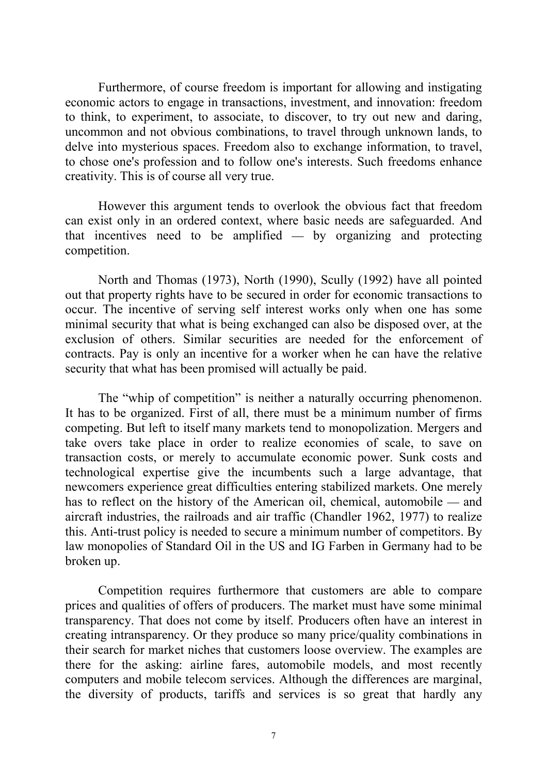Furthermore, of course freedom is important for allowing and instigating economic actors to engage in transactions, investment, and innovation: freedom to think, to experiment, to associate, to discover, to try out new and daring, uncommon and not obvious combinations, to travel through unknown lands, to delve into mysterious spaces. Freedom also to exchange information, to travel, to chose one's profession and to follow one's interests. Such freedoms enhance creativity. This is of course all very true.

However this argument tends to overlook the obvious fact that freedom can exist only in an ordered context, where basic needs are safeguarded. And that incentives need to be amplified  $\overline{\phantom{a}}$  by organizing and protecting competition.

North and Thomas (1973), North (1990), Scully (1992) have all pointed out that property rights have to be secured in order for economic transactions to occur. The incentive of serving self interest works only when one has some minimal security that what is being exchanged can also be disposed over, at the exclusion of others. Similar securities are needed for the enforcement of contracts. Pay is only an incentive for a worker when he can have the relative security that what has been promised will actually be paid.

The "whip of competition" is neither a naturally occurring phenomenon. It has to be organized. First of all, there must be a minimum number of firms competing. But left to itself many markets tend to monopolization. Mergers and take overs take place in order to realize economies of scale, to save on transaction costs, or merely to accumulate economic power. Sunk costs and technological expertise give the incumbents such a large advantage, that newcomers experience great difficulties entering stabilized markets. One merely has to reflect on the history of the American oil, chemical, automobile  $-$  and aircraft industries, the railroads and air traffic (Chandler 1962, 1977) to realize this. Anti-trust policy is needed to secure a minimum number of competitors. By law monopolies of Standard Oil in the US and IG Farben in Germany had to be broken up.

Competition requires furthermore that customers are able to compare prices and qualities of offers of producers. The market must have some minimal transparency. That does not come by itself. Producers often have an interest in creating intransparency. Or they produce so many price/quality combinations in their search for market niches that customers loose overview. The examples are there for the asking: airline fares, automobile models, and most recently computers and mobile telecom services. Although the differences are marginal, the diversity of products, tariffs and services is so great that hardly any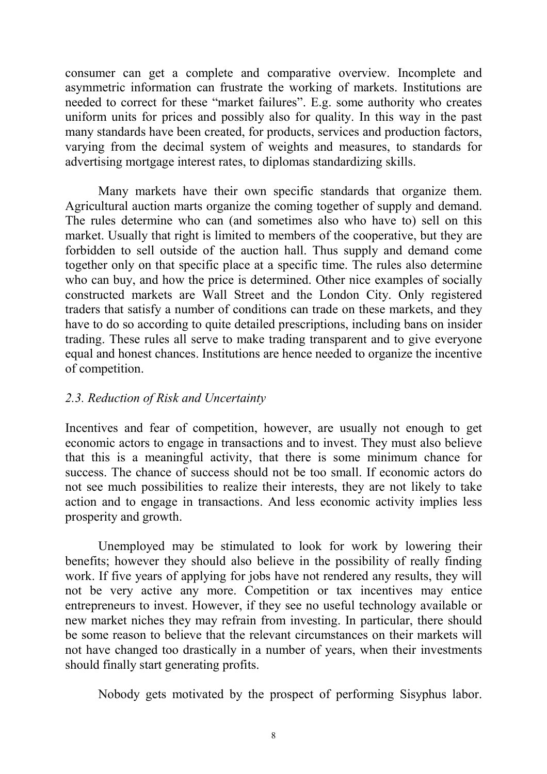consumer can get a complete and comparative overview. Incomplete and asymmetric information can frustrate the working of markets. Institutions are needed to correct for these "market failures". E.g. some authority who creates uniform units for prices and possibly also for quality. In this way in the past many standards have been created, for products, services and production factors, varying from the decimal system of weights and measures, to standards for advertising mortgage interest rates, to diplomas standardizing skills.

Many markets have their own specific standards that organize them. Agricultural auction marts organize the coming together of supply and demand. The rules determine who can (and sometimes also who have to) sell on this market. Usually that right is limited to members of the cooperative, but they are forbidden to sell outside of the auction hall. Thus supply and demand come together only on that specific place at a specific time. The rules also determine who can buy, and how the price is determined. Other nice examples of socially constructed markets are Wall Street and the London City. Only registered traders that satisfy a number of conditions can trade on these markets, and they have to do so according to quite detailed prescriptions, including bans on insider trading. These rules all serve to make trading transparent and to give everyone equal and honest chances. Institutions are hence needed to organize the incentive of competition.

# *2.3. Reduction of Risk and Uncertainty*

Incentives and fear of competition, however, are usually not enough to get economic actors to engage in transactions and to invest. They must also believe that this is a meaningful activity, that there is some minimum chance for success. The chance of success should not be too small. If economic actors do not see much possibilities to realize their interests, they are not likely to take action and to engage in transactions. And less economic activity implies less prosperity and growth.

Unemployed may be stimulated to look for work by lowering their benefits; however they should also believe in the possibility of really finding work. If five years of applying for jobs have not rendered any results, they will not be very active any more. Competition or tax incentives may entice entrepreneurs to invest. However, if they see no useful technology available or new market niches they may refrain from investing. In particular, there should be some reason to believe that the relevant circumstances on their markets will not have changed too drastically in a number of years, when their investments should finally start generating profits.

Nobody gets motivated by the prospect of performing Sisyphus labor.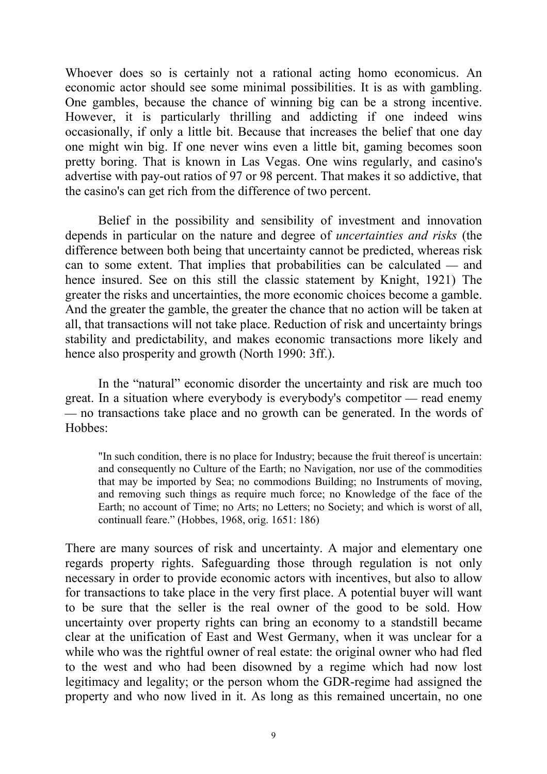Whoever does so is certainly not a rational acting homo economicus. An economic actor should see some minimal possibilities. It is as with gambling. One gambles, because the chance of winning big can be a strong incentive. However, it is particularly thrilling and addicting if one indeed wins occasionally, if only a little bit. Because that increases the belief that one day one might win big. If one never wins even a little bit, gaming becomes soon pretty boring. That is known in Las Vegas. One wins regularly, and casino's advertise with pay-out ratios of 97 or 98 percent. That makes it so addictive, that the casino's can get rich from the difference of two percent.

Belief in the possibility and sensibility of investment and innovation depends in particular on the nature and degree of *uncertainties and risks* (the difference between both being that uncertainty cannot be predicted, whereas risk can to some extent. That implies that probabilities can be calculated  $-$  and hence insured. See on this still the classic statement by Knight, 1921) The greater the risks and uncertainties, the more economic choices become a gamble. And the greater the gamble, the greater the chance that no action will be taken at all, that transactions will not take place. Reduction of risk and uncertainty brings stability and predictability, and makes economic transactions more likely and hence also prosperity and growth (North 1990: 3ff.).

In the "natural" economic disorder the uncertainty and risk are much too great. In a situation where everybody is everybody's competitor — read enemy no transactions take place and no growth can be generated. In the words of Hobbes:

"In such condition, there is no place for Industry; because the fruit thereof is uncertain: and consequently no Culture of the Earth; no Navigation, nor use of the commodities that may be imported by Sea; no commodions Building; no Instruments of moving, and removing such things as require much force; no Knowledge of the face of the Earth; no account of Time; no Arts; no Letters; no Society; and which is worst of all, continuall feare." (Hobbes, 1968, orig. 1651: 186)

There are many sources of risk and uncertainty. A major and elementary one regards property rights. Safeguarding those through regulation is not only necessary in order to provide economic actors with incentives, but also to allow for transactions to take place in the very first place. A potential buyer will want to be sure that the seller is the real owner of the good to be sold. How uncertainty over property rights can bring an economy to a standstill became clear at the unification of East and West Germany, when it was unclear for a while who was the rightful owner of real estate: the original owner who had fled to the west and who had been disowned by a regime which had now lost legitimacy and legality; or the person whom the GDR-regime had assigned the property and who now lived in it. As long as this remained uncertain, no one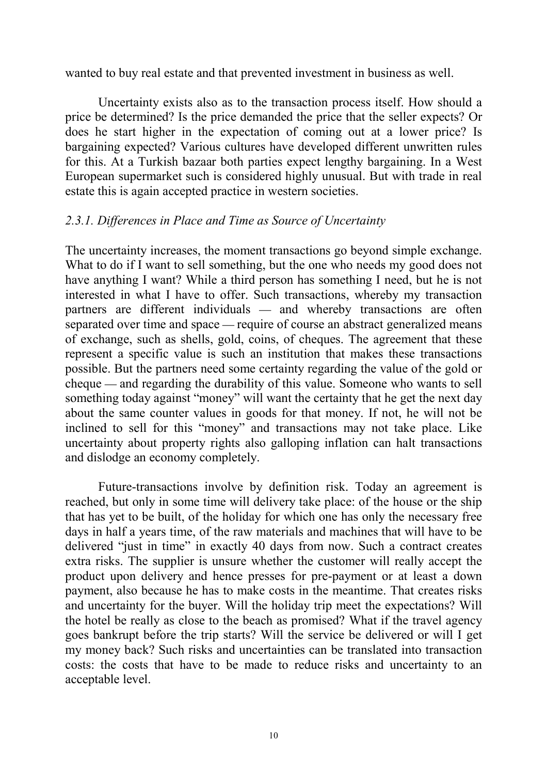wanted to buy real estate and that prevented investment in business as well.

Uncertainty exists also as to the transaction process itself. How should a price be determined? Is the price demanded the price that the seller expects? Or does he start higher in the expectation of coming out at a lower price? Is bargaining expected? Various cultures have developed different unwritten rules for this. At a Turkish bazaar both parties expect lengthy bargaining. In a West European supermarket such is considered highly unusual. But with trade in real estate this is again accepted practice in western societies.

# *2.3.1. Differences in Place and Time as Source of Uncertainty*

The uncertainty increases, the moment transactions go beyond simple exchange. What to do if I want to sell something, but the one who needs my good does not have anything I want? While a third person has something I need, but he is not interested in what I have to offer. Such transactions, whereby my transaction partners are different individuals — and whereby transactions are often separated over time and space — require of course an abstract generalized means of exchange, such as shells, gold, coins, of cheques. The agreement that these represent a specific value is such an institution that makes these transactions possible. But the partners need some certainty regarding the value of the gold or cheque — and regarding the durability of this value. Someone who wants to sell something today against "money" will want the certainty that he get the next day about the same counter values in goods for that money. If not, he will not be inclined to sell for this "money" and transactions may not take place. Like uncertainty about property rights also galloping inflation can halt transactions and dislodge an economy completely.

Future-transactions involve by definition risk. Today an agreement is reached, but only in some time will delivery take place: of the house or the ship that has yet to be built, of the holiday for which one has only the necessary free days in half a years time, of the raw materials and machines that will have to be delivered "just in time" in exactly 40 days from now. Such a contract creates extra risks. The supplier is unsure whether the customer will really accept the product upon delivery and hence presses for pre-payment or at least a down payment, also because he has to make costs in the meantime. That creates risks and uncertainty for the buyer. Will the holiday trip meet the expectations? Will the hotel be really as close to the beach as promised? What if the travel agency goes bankrupt before the trip starts? Will the service be delivered or will I get my money back? Such risks and uncertainties can be translated into transaction costs: the costs that have to be made to reduce risks and uncertainty to an acceptable level.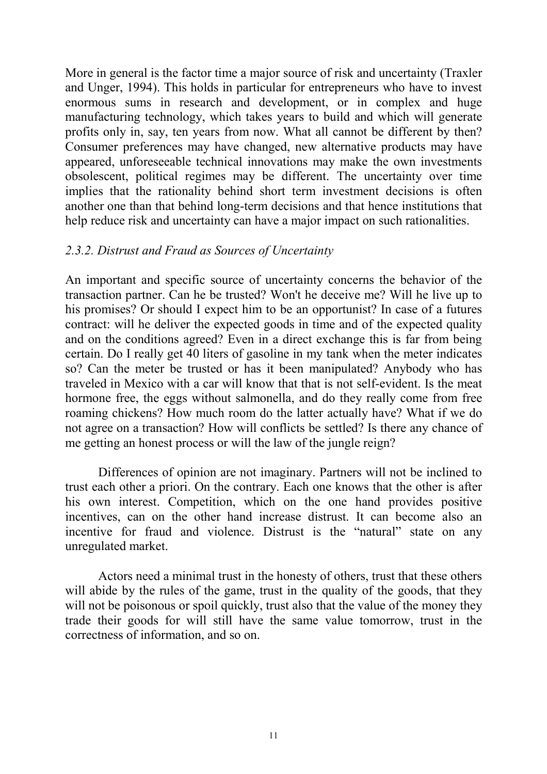More in general is the factor time a major source of risk and uncertainty (Traxler and Unger, 1994). This holds in particular for entrepreneurs who have to invest enormous sums in research and development, or in complex and huge manufacturing technology, which takes years to build and which will generate profits only in, say, ten years from now. What all cannot be different by then? Consumer preferences may have changed, new alternative products may have appeared, unforeseeable technical innovations may make the own investments obsolescent, political regimes may be different. The uncertainty over time implies that the rationality behind short term investment decisions is often another one than that behind long-term decisions and that hence institutions that help reduce risk and uncertainty can have a major impact on such rationalities.

#### *2.3.2. Distrust and Fraud as Sources of Uncertainty*

An important and specific source of uncertainty concerns the behavior of the transaction partner. Can he be trusted? Won't he deceive me? Will he live up to his promises? Or should I expect him to be an opportunist? In case of a futures contract: will he deliver the expected goods in time and of the expected quality and on the conditions agreed? Even in a direct exchange this is far from being certain. Do I really get 40 liters of gasoline in my tank when the meter indicates so? Can the meter be trusted or has it been manipulated? Anybody who has traveled in Mexico with a car will know that that is not self-evident. Is the meat hormone free, the eggs without salmonella, and do they really come from free roaming chickens? How much room do the latter actually have? What if we do not agree on a transaction? How will conflicts be settled? Is there any chance of me getting an honest process or will the law of the jungle reign?

Differences of opinion are not imaginary. Partners will not be inclined to trust each other a priori. On the contrary. Each one knows that the other is after his own interest. Competition, which on the one hand provides positive incentives, can on the other hand increase distrust. It can become also an incentive for fraud and violence. Distrust is the "natural" state on any unregulated market.

Actors need a minimal trust in the honesty of others, trust that these others will abide by the rules of the game, trust in the quality of the goods, that they will not be poisonous or spoil quickly, trust also that the value of the money they trade their goods for will still have the same value tomorrow, trust in the correctness of information, and so on.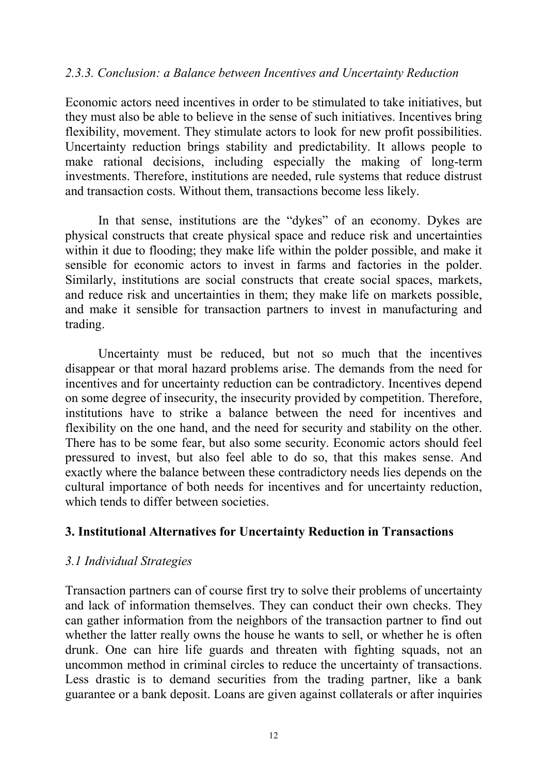# *2.3.3. Conclusion: a Balance between Incentives and Uncertainty Reduction*

Economic actors need incentives in order to be stimulated to take initiatives, but they must also be able to believe in the sense of such initiatives. Incentives bring flexibility, movement. They stimulate actors to look for new profit possibilities. Uncertainty reduction brings stability and predictability. It allows people to make rational decisions, including especially the making of long-term investments. Therefore, institutions are needed, rule systems that reduce distrust and transaction costs. Without them, transactions become less likely.

In that sense, institutions are the "dykes" of an economy. Dykes are physical constructs that create physical space and reduce risk and uncertainties within it due to flooding; they make life within the polder possible, and make it sensible for economic actors to invest in farms and factories in the polder. Similarly, institutions are social constructs that create social spaces, markets, and reduce risk and uncertainties in them; they make life on markets possible, and make it sensible for transaction partners to invest in manufacturing and trading.

Uncertainty must be reduced, but not so much that the incentives disappear or that moral hazard problems arise. The demands from the need for incentives and for uncertainty reduction can be contradictory. Incentives depend on some degree of insecurity, the insecurity provided by competition. Therefore, institutions have to strike a balance between the need for incentives and flexibility on the one hand, and the need for security and stability on the other. There has to be some fear, but also some security. Economic actors should feel pressured to invest, but also feel able to do so, that this makes sense. And exactly where the balance between these contradictory needs lies depends on the cultural importance of both needs for incentives and for uncertainty reduction, which tends to differ between societies.

# **3. Institutional Alternatives for Uncertainty Reduction in Transactions**

# *3.1 Individual Strategies*

Transaction partners can of course first try to solve their problems of uncertainty and lack of information themselves. They can conduct their own checks. They can gather information from the neighbors of the transaction partner to find out whether the latter really owns the house he wants to sell, or whether he is often drunk. One can hire life guards and threaten with fighting squads, not an uncommon method in criminal circles to reduce the uncertainty of transactions. Less drastic is to demand securities from the trading partner, like a bank guarantee or a bank deposit. Loans are given against collaterals or after inquiries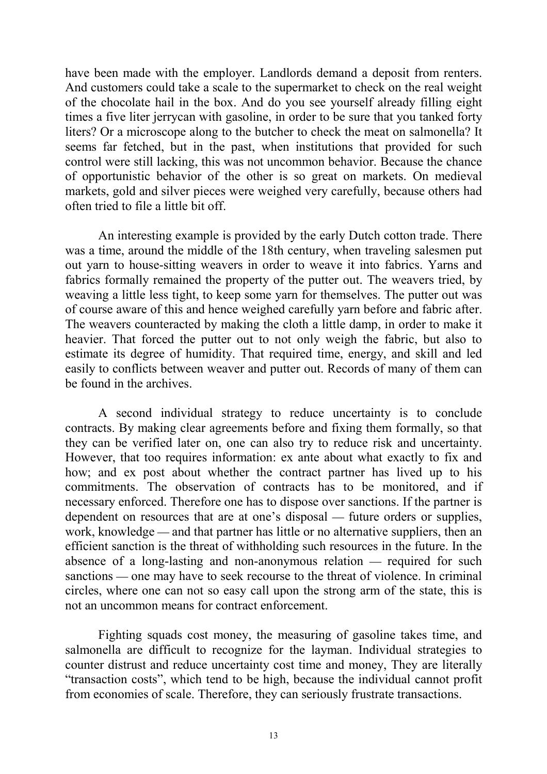have been made with the employer. Landlords demand a deposit from renters. And customers could take a scale to the supermarket to check on the real weight of the chocolate hail in the box. And do you see yourself already filling eight times a five liter jerrycan with gasoline, in order to be sure that you tanked forty liters? Or a microscope along to the butcher to check the meat on salmonella? It seems far fetched, but in the past, when institutions that provided for such control were still lacking, this was not uncommon behavior. Because the chance of opportunistic behavior of the other is so great on markets. On medieval markets, gold and silver pieces were weighed very carefully, because others had often tried to file a little bit off.

An interesting example is provided by the early Dutch cotton trade. There was a time, around the middle of the 18th century, when traveling salesmen put out yarn to house-sitting weavers in order to weave it into fabrics. Yarns and fabrics formally remained the property of the putter out. The weavers tried, by weaving a little less tight, to keep some yarn for themselves. The putter out was of course aware of this and hence weighed carefully yarn before and fabric after. The weavers counteracted by making the cloth a little damp, in order to make it heavier. That forced the putter out to not only weigh the fabric, but also to estimate its degree of humidity. That required time, energy, and skill and led easily to conflicts between weaver and putter out. Records of many of them can be found in the archives.

A second individual strategy to reduce uncertainty is to conclude contracts. By making clear agreements before and fixing them formally, so that they can be verified later on, one can also try to reduce risk and uncertainty. However, that too requires information: ex ante about what exactly to fix and how; and ex post about whether the contract partner has lived up to his commitments. The observation of contracts has to be monitored, and if necessary enforced. Therefore one has to dispose over sanctions. If the partner is dependent on resources that are at one's disposal — future orders or supplies, work, knowledge — and that partner has little or no alternative suppliers, then an efficient sanction is the threat of withholding such resources in the future. In the absence of a long-lasting and non-anonymous relation  $-$  required for such sanctions — one may have to seek recourse to the threat of violence. In criminal circles, where one can not so easy call upon the strong arm of the state, this is not an uncommon means for contract enforcement.

Fighting squads cost money, the measuring of gasoline takes time, and salmonella are difficult to recognize for the layman. Individual strategies to counter distrust and reduce uncertainty cost time and money, They are literally "transaction costs", which tend to be high, because the individual cannot profit from economies of scale. Therefore, they can seriously frustrate transactions.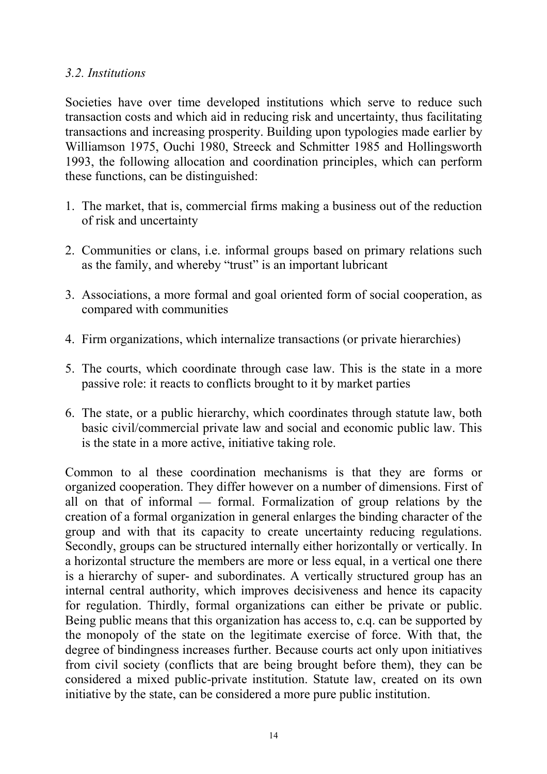# *3.2. Institutions*

Societies have over time developed institutions which serve to reduce such transaction costs and which aid in reducing risk and uncertainty, thus facilitating transactions and increasing prosperity. Building upon typologies made earlier by Williamson 1975, Ouchi 1980, Streeck and Schmitter 1985 and Hollingsworth 1993, the following allocation and coordination principles, which can perform these functions, can be distinguished:

- 1. The market, that is, commercial firms making a business out of the reduction of risk and uncertainty
- 2. Communities or clans, i.e. informal groups based on primary relations such as the family, and whereby "trust" is an important lubricant
- 3. Associations, a more formal and goal oriented form of social cooperation, as compared with communities
- 4. Firm organizations, which internalize transactions (or private hierarchies)
- 5. The courts, which coordinate through case law. This is the state in a more passive role: it reacts to conflicts brought to it by market parties
- 6. The state, or a public hierarchy, which coordinates through statute law, both basic civil/commercial private law and social and economic public law. This is the state in a more active, initiative taking role.

Common to al these coordination mechanisms is that they are forms or organized cooperation. They differ however on a number of dimensions. First of all on that of informal  $-$  formal. Formalization of group relations by the creation of a formal organization in general enlarges the binding character of the group and with that its capacity to create uncertainty reducing regulations. Secondly, groups can be structured internally either horizontally or vertically. In a horizontal structure the members are more or less equal, in a vertical one there is a hierarchy of super- and subordinates. A vertically structured group has an internal central authority, which improves decisiveness and hence its capacity for regulation. Thirdly, formal organizations can either be private or public. Being public means that this organization has access to, c.q. can be supported by the monopoly of the state on the legitimate exercise of force. With that, the degree of bindingness increases further. Because courts act only upon initiatives from civil society (conflicts that are being brought before them), they can be considered a mixed public-private institution. Statute law, created on its own initiative by the state, can be considered a more pure public institution.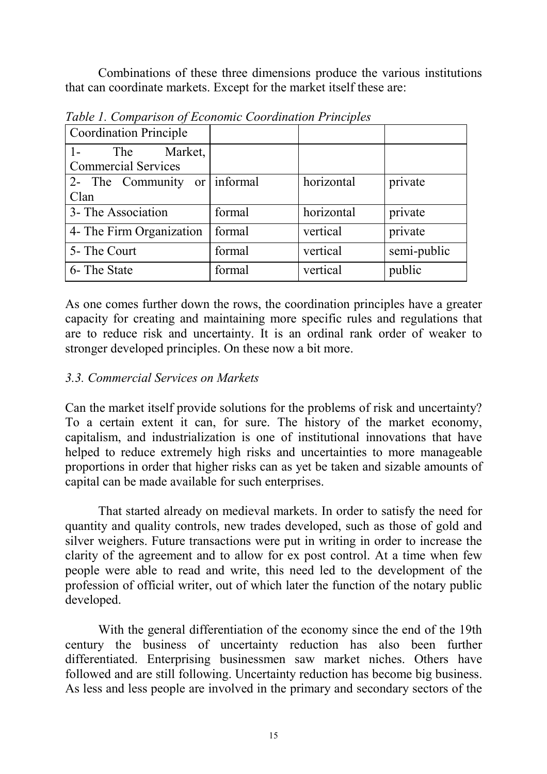Combinations of these three dimensions produce the various institutions that can coordinate markets. Except for the market itself these are:

| <b>Coordination Principle</b> |        |            |             |
|-------------------------------|--------|------------|-------------|
| The<br>Market,                |        |            |             |
| <b>Commercial Services</b>    |        |            |             |
| 2- The Community or informal  |        | horizontal | private     |
| Clan                          |        |            |             |
| 3- The Association            | formal | horizontal | private     |
| 4- The Firm Organization      | formal | vertical   | private     |
| 5- The Court                  | formal | vertical   | semi-public |
| 6- The State                  | formal | vertical   | public      |

*Table 1. Comparison of Economic Coordination Principles*

As one comes further down the rows, the coordination principles have a greater capacity for creating and maintaining more specific rules and regulations that are to reduce risk and uncertainty. It is an ordinal rank order of weaker to stronger developed principles. On these now a bit more.

# *3.3. Commercial Services on Markets*

Can the market itself provide solutions for the problems of risk and uncertainty? To a certain extent it can, for sure. The history of the market economy, capitalism, and industrialization is one of institutional innovations that have helped to reduce extremely high risks and uncertainties to more manageable proportions in order that higher risks can as yet be taken and sizable amounts of capital can be made available for such enterprises.

That started already on medieval markets. In order to satisfy the need for quantity and quality controls, new trades developed, such as those of gold and silver weighers. Future transactions were put in writing in order to increase the clarity of the agreement and to allow for ex post control. At a time when few people were able to read and write, this need led to the development of the profession of official writer, out of which later the function of the notary public developed.

With the general differentiation of the economy since the end of the 19th century the business of uncertainty reduction has also been further differentiated. Enterprising businessmen saw market niches. Others have followed and are still following. Uncertainty reduction has become big business. As less and less people are involved in the primary and secondary sectors of the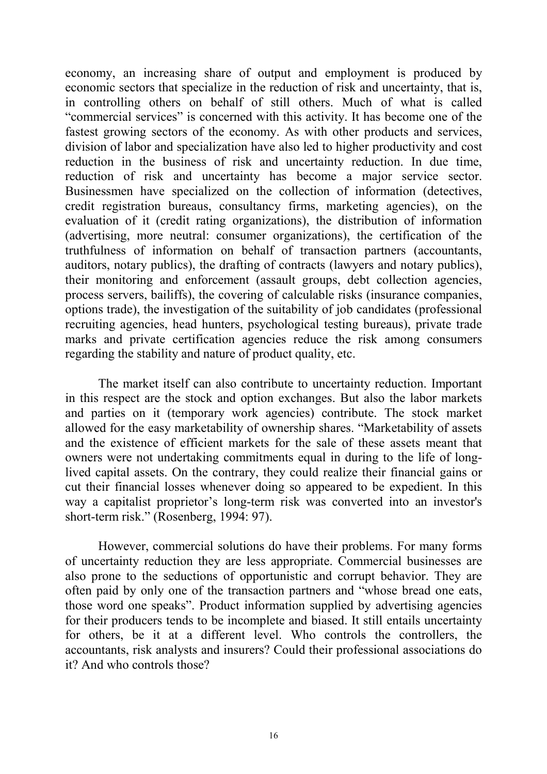economy, an increasing share of output and employment is produced by economic sectors that specialize in the reduction of risk and uncertainty, that is, in controlling others on behalf of still others. Much of what is called "commercial services" is concerned with this activity. It has become one of the fastest growing sectors of the economy. As with other products and services, division of labor and specialization have also led to higher productivity and cost reduction in the business of risk and uncertainty reduction. In due time, reduction of risk and uncertainty has become a major service sector. Businessmen have specialized on the collection of information (detectives, credit registration bureaus, consultancy firms, marketing agencies), on the evaluation of it (credit rating organizations), the distribution of information (advertising, more neutral: consumer organizations), the certification of the truthfulness of information on behalf of transaction partners (accountants, auditors, notary publics), the drafting of contracts (lawyers and notary publics), their monitoring and enforcement (assault groups, debt collection agencies, process servers, bailiffs), the covering of calculable risks (insurance companies, options trade), the investigation of the suitability of job candidates (professional recruiting agencies, head hunters, psychological testing bureaus), private trade marks and private certification agencies reduce the risk among consumers regarding the stability and nature of product quality, etc.

The market itself can also contribute to uncertainty reduction. Important in this respect are the stock and option exchanges. But also the labor markets and parties on it (temporary work agencies) contribute. The stock market allowed for the easy marketability of ownership shares. "Marketability of assets and the existence of efficient markets for the sale of these assets meant that owners were not undertaking commitments equal in during to the life of longlived capital assets. On the contrary, they could realize their financial gains or cut their financial losses whenever doing so appeared to be expedient. In this way a capitalist proprietor's long-term risk was converted into an investor's short-term risk." (Rosenberg, 1994: 97).

However, commercial solutions do have their problems. For many forms of uncertainty reduction they are less appropriate. Commercial businesses are also prone to the seductions of opportunistic and corrupt behavior. They are often paid by only one of the transaction partners and "whose bread one eats, those word one speaks". Product information supplied by advertising agencies for their producers tends to be incomplete and biased. It still entails uncertainty for others, be it at a different level. Who controls the controllers, the accountants, risk analysts and insurers? Could their professional associations do it? And who controls those?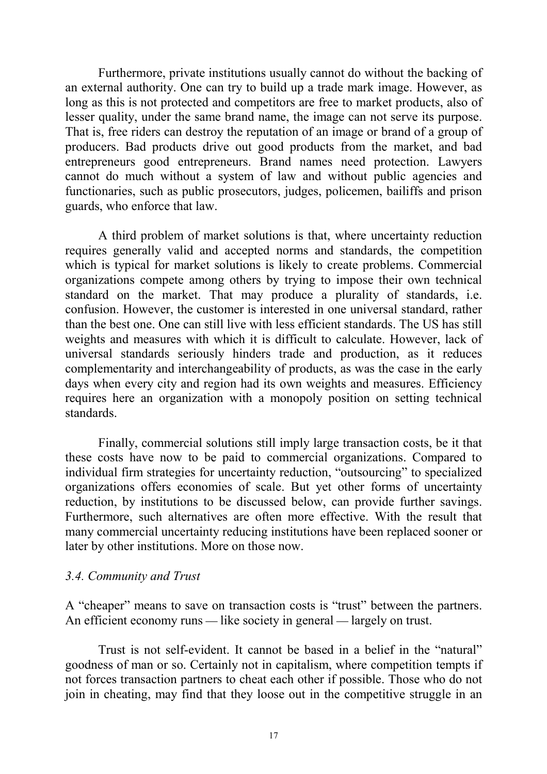Furthermore, private institutions usually cannot do without the backing of an external authority. One can try to build up a trade mark image. However, as long as this is not protected and competitors are free to market products, also of lesser quality, under the same brand name, the image can not serve its purpose. That is, free riders can destroy the reputation of an image or brand of a group of producers. Bad products drive out good products from the market, and bad entrepreneurs good entrepreneurs. Brand names need protection. Lawyers cannot do much without a system of law and without public agencies and functionaries, such as public prosecutors, judges, policemen, bailiffs and prison guards, who enforce that law.

A third problem of market solutions is that, where uncertainty reduction requires generally valid and accepted norms and standards, the competition which is typical for market solutions is likely to create problems. Commercial organizations compete among others by trying to impose their own technical standard on the market. That may produce a plurality of standards, i.e. confusion. However, the customer is interested in one universal standard, rather than the best one. One can still live with less efficient standards. The US has still weights and measures with which it is difficult to calculate. However, lack of universal standards seriously hinders trade and production, as it reduces complementarity and interchangeability of products, as was the case in the early days when every city and region had its own weights and measures. Efficiency requires here an organization with a monopoly position on setting technical standards.

Finally, commercial solutions still imply large transaction costs, be it that these costs have now to be paid to commercial organizations. Compared to individual firm strategies for uncertainty reduction, "outsourcing" to specialized organizations offers economies of scale. But yet other forms of uncertainty reduction, by institutions to be discussed below, can provide further savings. Furthermore, such alternatives are often more effective. With the result that many commercial uncertainty reducing institutions have been replaced sooner or later by other institutions. More on those now.

#### *3.4. Community and Trust*

A "cheaper" means to save on transaction costs is "trust" between the partners. An efficient economy runs  $\frac{d}{dx}$  like society in general  $\frac{d}{dx}$  largely on trust.

Trust is not self-evident. It cannot be based in a belief in the "natural" goodness of man or so. Certainly not in capitalism, where competition tempts if not forces transaction partners to cheat each other if possible. Those who do not join in cheating, may find that they loose out in the competitive struggle in an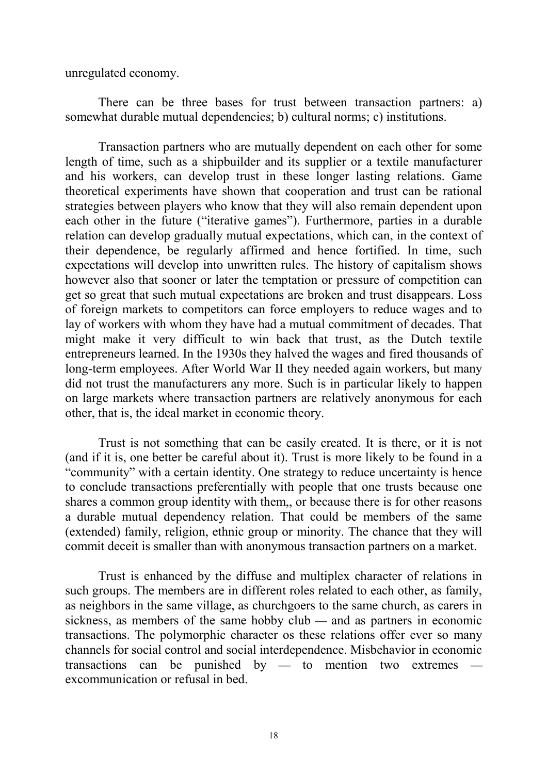unregulated economy.

There can be three bases for trust between transaction partners: a) somewhat durable mutual dependencies; b) cultural norms; c) institutions.

Transaction partners who are mutually dependent on each other for some length of time, such as a shipbuilder and its supplier or a textile manufacturer and his workers, can develop trust in these longer lasting relations. Game theoretical experiments have shown that cooperation and trust can be rational strategies between players who know that they will also remain dependent upon each other in the future ("iterative games"). Furthermore, parties in a durable relation can develop gradually mutual expectations, which can, in the context of their dependence, be regularly affirmed and hence fortified. In time, such expectations will develop into unwritten rules. The history of capitalism shows however also that sooner or later the temptation or pressure of competition can get so great that such mutual expectations are broken and trust disappears. Loss of foreign markets to competitors can force employers to reduce wages and to lay of workers with whom they have had a mutual commitment of decades. That might make it very difficult to win back that trust, as the Dutch textile entrepreneurs learned. In the 1930s they halved the wages and fired thousands of long-term employees. After World War II they needed again workers, but many did not trust the manufacturers any more. Such is in particular likely to happen on large markets where transaction partners are relatively anonymous for each other, that is, the ideal market in economic theory.

Trust is not something that can be easily created. It is there, or it is not (and if it is, one better be careful about it). Trust is more likely to be found in a "community" with a certain identity. One strategy to reduce uncertainty is hence to conclude transactions preferentially with people that one trusts because one shares a common group identity with them,, or because there is for other reasons a durable mutual dependency relation. That could be members of the same (extended) family, religion, ethnic group or minority. The chance that they will commit deceit is smaller than with anonymous transaction partners on a market.

Trust is enhanced by the diffuse and multiplex character of relations in such groups. The members are in different roles related to each other, as family, as neighbors in the same village, as churchgoers to the same church, as carers in sickness, as members of the same hobby club  $-$  and as partners in economic transactions. The polymorphic character os these relations offer ever so many channels for social control and social interdependence. Misbehavior in economic transactions can be punished by  $-$  to mention two extremes excommunication or refusal in bed.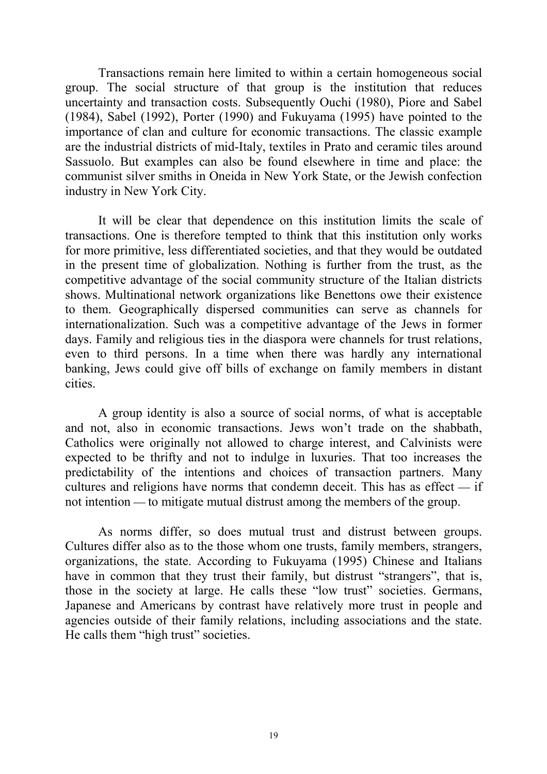Transactions remain here limited to within a certain homogeneous social group. The social structure of that group is the institution that reduces uncertainty and transaction costs. Subsequently Ouchi (1980), Piore and Sabel (1984), Sabel (1992), Porter (1990) and Fukuyama (1995) have pointed to the importance of clan and culture for economic transactions. The classic example are the industrial districts of mid-Italy, textiles in Prato and ceramic tiles around Sassuolo. But examples can also be found elsewhere in time and place: the communist silver smiths in Oneida in New York State, or the Jewish confection industry in New York City.

It will be clear that dependence on this institution limits the scale of transactions. One is therefore tempted to think that this institution only works for more primitive, less differentiated societies, and that they would be outdated in the present time of globalization. Nothing is further from the trust, as the competitive advantage of the social community structure of the Italian districts shows. Multinational network organizations like Benettons owe their existence to them. Geographically dispersed communities can serve as channels for internationalization. Such was a competitive advantage of the Jews in former days. Family and religious ties in the diaspora were channels for trust relations, even to third persons. In a time when there was hardly any international banking, Jews could give off bills of exchange on family members in distant cities.

A group identity is also a source of social norms, of what is acceptable and not, also in economic transactions. Jews won't trade on the shabbath, Catholics were originally not allowed to charge interest, and Calvinists were expected to be thrifty and not to indulge in luxuries. That too increases the predictability of the intentions and choices of transaction partners. Many cultures and religions have norms that condemn deceit. This has as effect  $-$  if not intention — to mitigate mutual distrust among the members of the group.

As norms differ, so does mutual trust and distrust between groups. Cultures differ also as to the those whom one trusts, family members, strangers, organizations, the state. According to Fukuyama (1995) Chinese and Italians have in common that they trust their family, but distrust "strangers", that is, those in the society at large. He calls these "low trust" societies. Germans, Japanese and Americans by contrast have relatively more trust in people and agencies outside of their family relations, including associations and the state. He calls them "high trust" societies.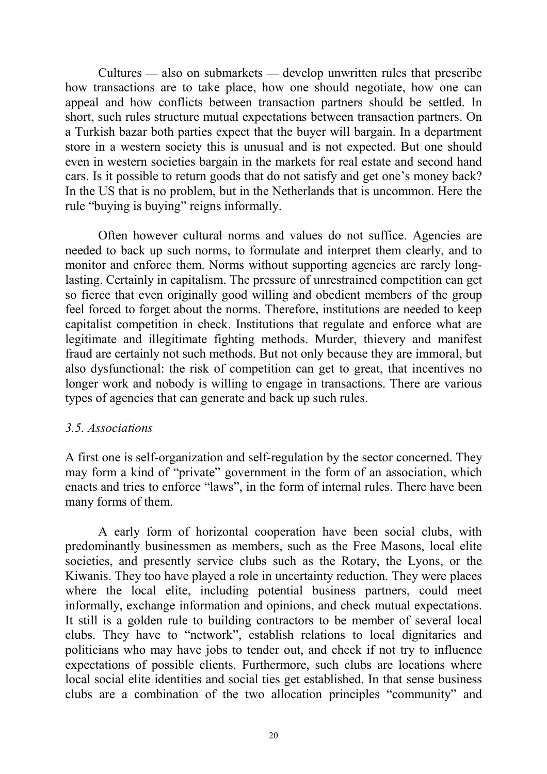$Cultures$   $-$  also on submarkets  $-$  develop unwritten rules that prescribe how transactions are to take place, how one should negotiate, how one can appeal and how conflicts between transaction partners should be settled. In short, such rules structure mutual expectations between transaction partners. On a Turkish bazar both parties expect that the buyer will bargain. In a department store in a western society this is unusual and is not expected. But one should even in western societies bargain in the markets for real estate and second hand cars. Is it possible to return goods that do not satisfy and get one's money back? In the US that is no problem, but in the Netherlands that is uncommon. Here the rule "buying is buying" reigns informally.

Often however cultural norms and values do not suffice. Agencies are needed to back up such norms, to formulate and interpret them clearly, and to monitor and enforce them. Norms without supporting agencies are rarely longlasting. Certainly in capitalism. The pressure of unrestrained competition can get so fierce that even originally good willing and obedient members of the group feel forced to forget about the norms. Therefore, institutions are needed to keep capitalist competition in check. Institutions that regulate and enforce what are legitimate and illegitimate fighting methods. Murder, thievery and manifest fraud are certainly not such methods. But not only because they are immoral, but also dysfunctional: the risk of competition can get to great, that incentives no longer work and nobody is willing to engage in transactions. There are various types of agencies that can generate and back up such rules.

#### *3.5. Associations*

A first one is self-organization and self-regulation by the sector concerned. They may form a kind of "private" government in the form of an association, which enacts and tries to enforce "laws", in the form of internal rules. There have been many forms of them.

A early form of horizontal cooperation have been social clubs, with predominantly businessmen as members, such as the Free Masons, local elite societies, and presently service clubs such as the Rotary, the Lyons, or the Kiwanis. They too have played a role in uncertainty reduction. They were places where the local elite, including potential business partners, could meet informally, exchange information and opinions, and check mutual expectations. It still is a golden rule to building contractors to be member of several local clubs. They have to "network", establish relations to local dignitaries and politicians who may have jobs to tender out, and check if not try to influence expectations of possible clients. Furthermore, such clubs are locations where local social elite identities and social ties get established. In that sense business clubs are a combination of the two allocation principles "community" and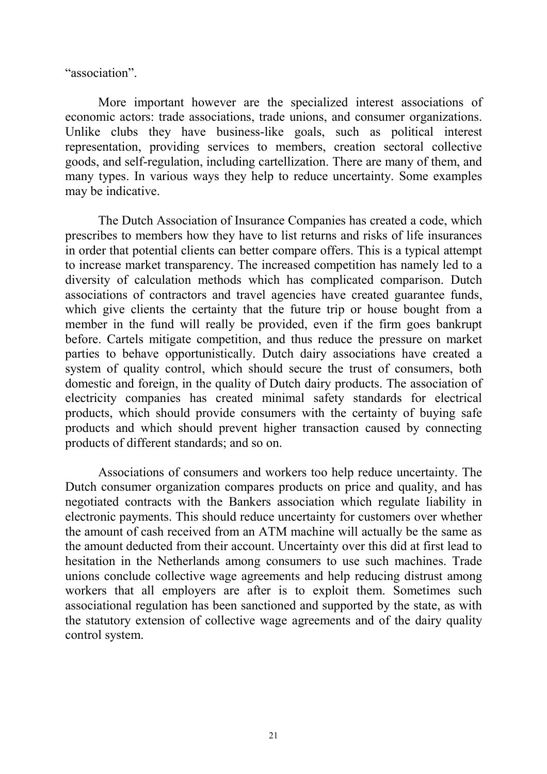"association".

More important however are the specialized interest associations of economic actors: trade associations, trade unions, and consumer organizations. Unlike clubs they have business-like goals, such as political interest representation, providing services to members, creation sectoral collective goods, and self-regulation, including cartellization. There are many of them, and many types. In various ways they help to reduce uncertainty. Some examples may be indicative.

The Dutch Association of Insurance Companies has created a code, which prescribes to members how they have to list returns and risks of life insurances in order that potential clients can better compare offers. This is a typical attempt to increase market transparency. The increased competition has namely led to a diversity of calculation methods which has complicated comparison. Dutch associations of contractors and travel agencies have created guarantee funds, which give clients the certainty that the future trip or house bought from a member in the fund will really be provided, even if the firm goes bankrupt before. Cartels mitigate competition, and thus reduce the pressure on market parties to behave opportunistically. Dutch dairy associations have created a system of quality control, which should secure the trust of consumers, both domestic and foreign, in the quality of Dutch dairy products. The association of electricity companies has created minimal safety standards for electrical products, which should provide consumers with the certainty of buying safe products and which should prevent higher transaction caused by connecting products of different standards; and so on.

Associations of consumers and workers too help reduce uncertainty. The Dutch consumer organization compares products on price and quality, and has negotiated contracts with the Bankers association which regulate liability in electronic payments. This should reduce uncertainty for customers over whether the amount of cash received from an ATM machine will actually be the same as the amount deducted from their account. Uncertainty over this did at first lead to hesitation in the Netherlands among consumers to use such machines. Trade unions conclude collective wage agreements and help reducing distrust among workers that all employers are after is to exploit them. Sometimes such associational regulation has been sanctioned and supported by the state, as with the statutory extension of collective wage agreements and of the dairy quality control system.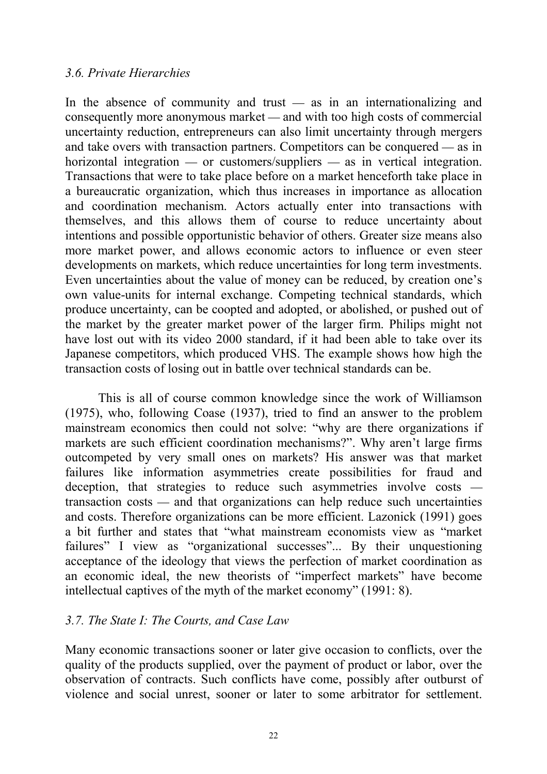# *3.6. Private Hierarchies*

In the absence of community and trust  $-$  as in an internationalizing and consequently more anonymous market — and with too high costs of commercial uncertainty reduction, entrepreneurs can also limit uncertainty through mergers and take overs with transaction partners. Competitors can be conquered  $-$  as in horizontal integration — or customers/suppliers — as in vertical integration. Transactions that were to take place before on a market henceforth take place in a bureaucratic organization, which thus increases in importance as allocation and coordination mechanism. Actors actually enter into transactions with themselves, and this allows them of course to reduce uncertainty about intentions and possible opportunistic behavior of others. Greater size means also more market power, and allows economic actors to influence or even steer developments on markets, which reduce uncertainties for long term investments. Even uncertainties about the value of money can be reduced, by creation one's own value-units for internal exchange. Competing technical standards, which produce uncertainty, can be coopted and adopted, or abolished, or pushed out of the market by the greater market power of the larger firm. Philips might not have lost out with its video 2000 standard, if it had been able to take over its Japanese competitors, which produced VHS. The example shows how high the transaction costs of losing out in battle over technical standards can be.

This is all of course common knowledge since the work of Williamson (1975), who, following Coase (1937), tried to find an answer to the problem mainstream economics then could not solve: "why are there organizations if markets are such efficient coordination mechanisms?". Why aren't large firms outcompeted by very small ones on markets? His answer was that market failures like information asymmetries create possibilities for fraud and deception, that strategies to reduce such asymmetries involve costs  $transaction costs$  and that organizations can help reduce such uncertainties and costs. Therefore organizations can be more efficient. Lazonick (1991) goes a bit further and states that "what mainstream economists view as "market failures" I view as "organizational successes"... By their unquestioning acceptance of the ideology that views the perfection of market coordination as an economic ideal, the new theorists of "imperfect markets" have become intellectual captives of the myth of the market economy" (1991: 8).

# *3.7. The State I: The Courts, and Case Law*

Many economic transactions sooner or later give occasion to conflicts, over the quality of the products supplied, over the payment of product or labor, over the observation of contracts. Such conflicts have come, possibly after outburst of violence and social unrest, sooner or later to some arbitrator for settlement.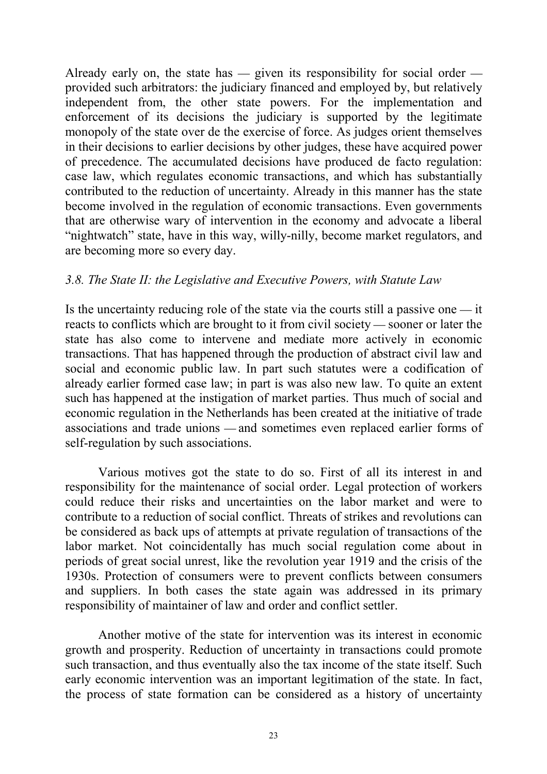Already early on, the state has  $-$  given its responsibility for social order  $$ provided such arbitrators: the judiciary financed and employed by, but relatively independent from, the other state powers. For the implementation and enforcement of its decisions the judiciary is supported by the legitimate monopoly of the state over de the exercise of force. As judges orient themselves in their decisions to earlier decisions by other judges, these have acquired power of precedence. The accumulated decisions have produced de facto regulation: case law, which regulates economic transactions, and which has substantially contributed to the reduction of uncertainty. Already in this manner has the state become involved in the regulation of economic transactions. Even governments that are otherwise wary of intervention in the economy and advocate a liberal "nightwatch" state, have in this way, willy-nilly, become market regulators, and are becoming more so every day.

# *3.8. The State II: the Legislative and Executive Powers, with Statute Law*

Is the uncertainty reducing role of the state via the courts still a passive one  $-$  it reacts to conflicts which are brought to it from civil society — sooner or later the state has also come to intervene and mediate more actively in economic transactions. That has happened through the production of abstract civil law and social and economic public law. In part such statutes were a codification of already earlier formed case law; in part is was also new law. To quite an extent such has happened at the instigation of market parties. Thus much of social and economic regulation in the Netherlands has been created at the initiative of trade associations and trade unions — and sometimes even replaced earlier forms of self-regulation by such associations.

Various motives got the state to do so. First of all its interest in and responsibility for the maintenance of social order. Legal protection of workers could reduce their risks and uncertainties on the labor market and were to contribute to a reduction of social conflict. Threats of strikes and revolutions can be considered as back ups of attempts at private regulation of transactions of the labor market. Not coincidentally has much social regulation come about in periods of great social unrest, like the revolution year 1919 and the crisis of the 1930s. Protection of consumers were to prevent conflicts between consumers and suppliers. In both cases the state again was addressed in its primary responsibility of maintainer of law and order and conflict settler.

Another motive of the state for intervention was its interest in economic growth and prosperity. Reduction of uncertainty in transactions could promote such transaction, and thus eventually also the tax income of the state itself. Such early economic intervention was an important legitimation of the state. In fact, the process of state formation can be considered as a history of uncertainty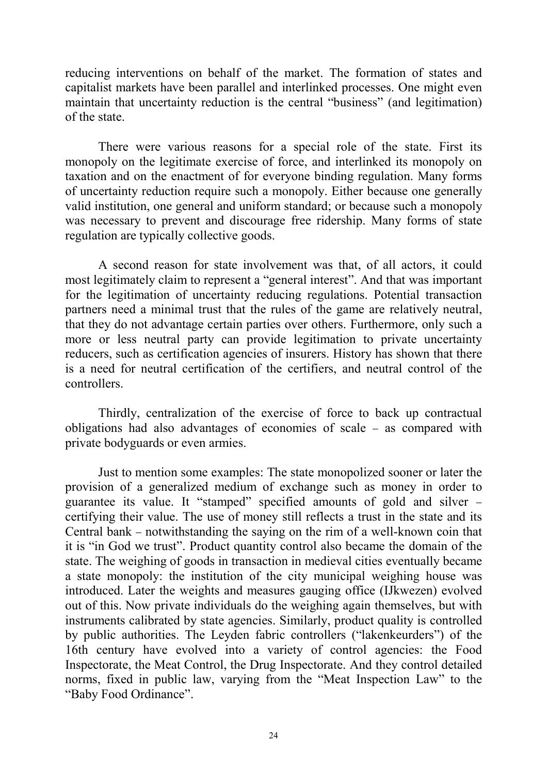reducing interventions on behalf of the market. The formation of states and capitalist markets have been parallel and interlinked processes. One might even maintain that uncertainty reduction is the central "business" (and legitimation) of the state.

There were various reasons for a special role of the state. First its monopoly on the legitimate exercise of force, and interlinked its monopoly on taxation and on the enactment of for everyone binding regulation. Many forms of uncertainty reduction require such a monopoly. Either because one generally valid institution, one general and uniform standard; or because such a monopoly was necessary to prevent and discourage free ridership. Many forms of state regulation are typically collective goods.

A second reason for state involvement was that, of all actors, it could most legitimately claim to represent a "general interest". And that was important for the legitimation of uncertainty reducing regulations. Potential transaction partners need a minimal trust that the rules of the game are relatively neutral, that they do not advantage certain parties over others. Furthermore, only such a more or less neutral party can provide legitimation to private uncertainty reducers, such as certification agencies of insurers. History has shown that there is a need for neutral certification of the certifiers, and neutral control of the controllers.

Thirdly, centralization of the exercise of force to back up contractual obligations had also advantages of economies of scale as compared with private bodyguards or even armies.

Just to mention some examples: The state monopolized sooner or later the provision of a generalized medium of exchange such as money in order to guarantee its value. It "stamped" specified amounts of gold and silver certifying their value. The use of money still reflects a trust in the state and its Central bank – notwithstanding the saying on the rim of a well-known coin that it is "in God we trust". Product quantity control also became the domain of the state. The weighing of goods in transaction in medieval cities eventually became a state monopoly: the institution of the city municipal weighing house was introduced. Later the weights and measures gauging office (IJkwezen) evolved out of this. Now private individuals do the weighing again themselves, but with instruments calibrated by state agencies. Similarly, product quality is controlled by public authorities. The Leyden fabric controllers ("lakenkeurders") of the 16th century have evolved into a variety of control agencies: the Food Inspectorate, the Meat Control, the Drug Inspectorate. And they control detailed norms, fixed in public law, varying from the "Meat Inspection Law" to the "Baby Food Ordinance".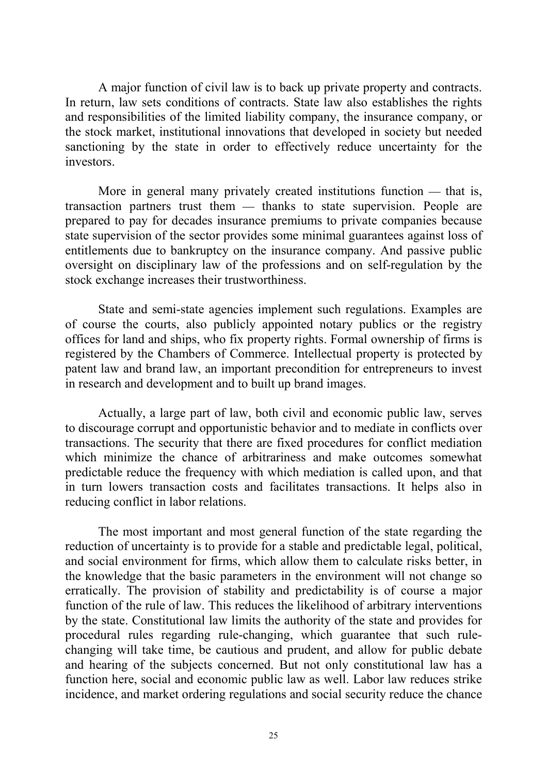A major function of civil law is to back up private property and contracts. In return, law sets conditions of contracts. State law also establishes the rights and responsibilities of the limited liability company, the insurance company, or the stock market, institutional innovations that developed in society but needed sanctioning by the state in order to effectively reduce uncertainty for the investors.

More in general many privately created institutions function  $-$  that is, transaction partners trust them — thanks to state supervision. People are prepared to pay for decades insurance premiums to private companies because state supervision of the sector provides some minimal guarantees against loss of entitlements due to bankruptcy on the insurance company. And passive public oversight on disciplinary law of the professions and on self-regulation by the stock exchange increases their trustworthiness.

State and semi-state agencies implement such regulations. Examples are of course the courts, also publicly appointed notary publics or the registry offices for land and ships, who fix property rights. Formal ownership of firms is registered by the Chambers of Commerce. Intellectual property is protected by patent law and brand law, an important precondition for entrepreneurs to invest in research and development and to built up brand images.

Actually, a large part of law, both civil and economic public law, serves to discourage corrupt and opportunistic behavior and to mediate in conflicts over transactions. The security that there are fixed procedures for conflict mediation which minimize the chance of arbitrariness and make outcomes somewhat predictable reduce the frequency with which mediation is called upon, and that in turn lowers transaction costs and facilitates transactions. It helps also in reducing conflict in labor relations.

The most important and most general function of the state regarding the reduction of uncertainty is to provide for a stable and predictable legal, political, and social environment for firms, which allow them to calculate risks better, in the knowledge that the basic parameters in the environment will not change so erratically. The provision of stability and predictability is of course a major function of the rule of law. This reduces the likelihood of arbitrary interventions by the state. Constitutional law limits the authority of the state and provides for procedural rules regarding rule-changing, which guarantee that such rulechanging will take time, be cautious and prudent, and allow for public debate and hearing of the subjects concerned. But not only constitutional law has a function here, social and economic public law as well. Labor law reduces strike incidence, and market ordering regulations and social security reduce the chance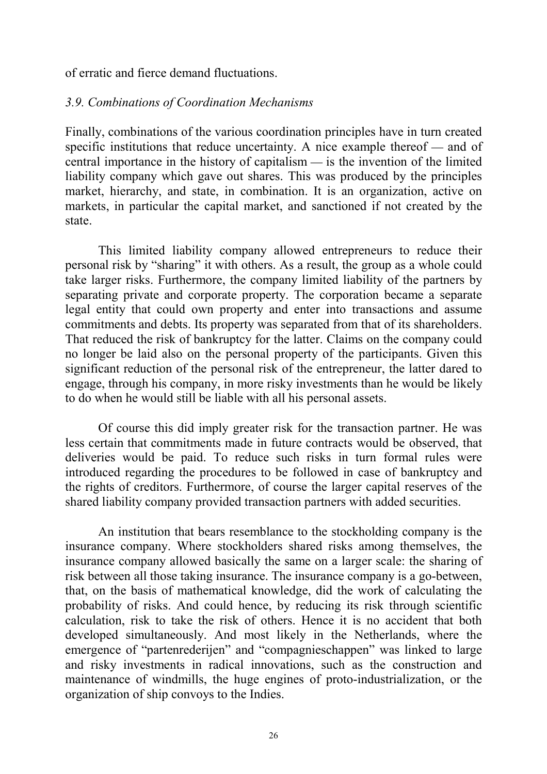of erratic and fierce demand fluctuations.

#### *3.9. Combinations of Coordination Mechanisms*

Finally, combinations of the various coordination principles have in turn created specific institutions that reduce uncertainty. A nice example thereof  $-$  and of central importance in the history of capitalism  $\frac{1}{10}$  is the invention of the limited liability company which gave out shares. This was produced by the principles market, hierarchy, and state, in combination. It is an organization, active on markets, in particular the capital market, and sanctioned if not created by the state.

This limited liability company allowed entrepreneurs to reduce their personal risk by "sharing" it with others. As a result, the group as a whole could take larger risks. Furthermore, the company limited liability of the partners by separating private and corporate property. The corporation became a separate legal entity that could own property and enter into transactions and assume commitments and debts. Its property was separated from that of its shareholders. That reduced the risk of bankruptcy for the latter. Claims on the company could no longer be laid also on the personal property of the participants. Given this significant reduction of the personal risk of the entrepreneur, the latter dared to engage, through his company, in more risky investments than he would be likely to do when he would still be liable with all his personal assets.

Of course this did imply greater risk for the transaction partner. He was less certain that commitments made in future contracts would be observed, that deliveries would be paid. To reduce such risks in turn formal rules were introduced regarding the procedures to be followed in case of bankruptcy and the rights of creditors. Furthermore, of course the larger capital reserves of the shared liability company provided transaction partners with added securities.

An institution that bears resemblance to the stockholding company is the insurance company. Where stockholders shared risks among themselves, the insurance company allowed basically the same on a larger scale: the sharing of risk between all those taking insurance. The insurance company is a go-between, that, on the basis of mathematical knowledge, did the work of calculating the probability of risks. And could hence, by reducing its risk through scientific calculation, risk to take the risk of others. Hence it is no accident that both developed simultaneously. And most likely in the Netherlands, where the emergence of "partenrederijen" and "compagnieschappen" was linked to large and risky investments in radical innovations, such as the construction and maintenance of windmills, the huge engines of proto-industrialization, or the organization of ship convoys to the Indies.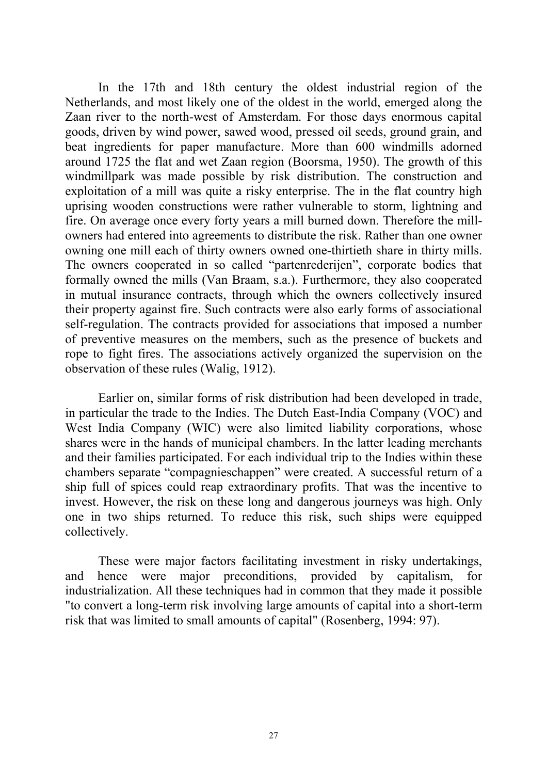In the 17th and 18th century the oldest industrial region of the Netherlands, and most likely one of the oldest in the world, emerged along the Zaan river to the north-west of Amsterdam. For those days enormous capital goods, driven by wind power, sawed wood, pressed oil seeds, ground grain, and beat ingredients for paper manufacture. More than 600 windmills adorned around 1725 the flat and wet Zaan region (Boorsma, 1950). The growth of this windmillpark was made possible by risk distribution. The construction and exploitation of a mill was quite a risky enterprise. The in the flat country high uprising wooden constructions were rather vulnerable to storm, lightning and fire. On average once every forty years a mill burned down. Therefore the millowners had entered into agreements to distribute the risk. Rather than one owner owning one mill each of thirty owners owned one-thirtieth share in thirty mills. The owners cooperated in so called "partenrederijen", corporate bodies that formally owned the mills (Van Braam, s.a.). Furthermore, they also cooperated in mutual insurance contracts, through which the owners collectively insured their property against fire. Such contracts were also early forms of associational self-regulation. The contracts provided for associations that imposed a number of preventive measures on the members, such as the presence of buckets and rope to fight fires. The associations actively organized the supervision on the observation of these rules (Walig, 1912).

Earlier on, similar forms of risk distribution had been developed in trade, in particular the trade to the Indies. The Dutch East-India Company (VOC) and West India Company (WIC) were also limited liability corporations, whose shares were in the hands of municipal chambers. In the latter leading merchants and their families participated. For each individual trip to the Indies within these chambers separate "compagnieschappen" were created. A successful return of a ship full of spices could reap extraordinary profits. That was the incentive to invest. However, the risk on these long and dangerous journeys was high. Only one in two ships returned. To reduce this risk, such ships were equipped collectively.

These were major factors facilitating investment in risky undertakings, and hence were major preconditions, provided by capitalism, for industrialization. All these techniques had in common that they made it possible "to convert a long-term risk involving large amounts of capital into a short-term risk that was limited to small amounts of capital" (Rosenberg, 1994: 97).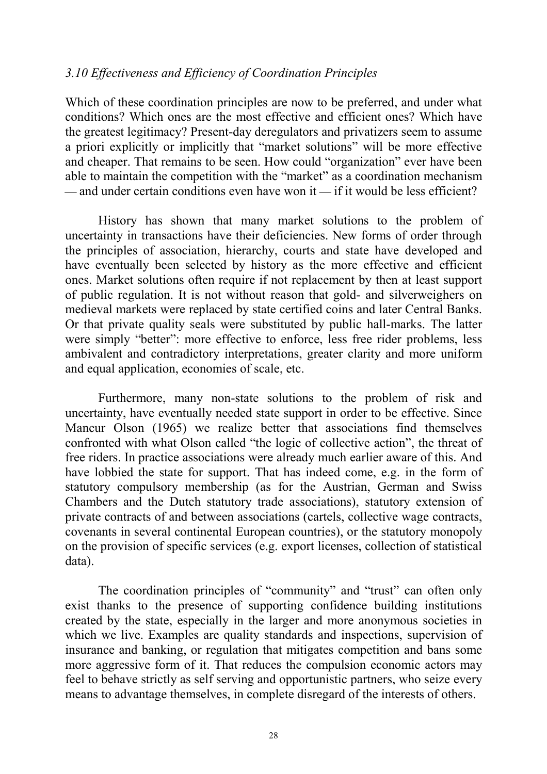#### *3.10 Effectiveness and Efficiency of Coordination Principles*

Which of these coordination principles are now to be preferred, and under what conditions? Which ones are the most effective and efficient ones? Which have the greatest legitimacy? Present-day deregulators and privatizers seem to assume a priori explicitly or implicitly that "market solutions" will be more effective and cheaper. That remains to be seen. How could "organization" ever have been able to maintain the competition with the "market" as a coordination mechanism  $\mu$  and under certain conditions even have won it  $\mu$  if it would be less efficient?

History has shown that many market solutions to the problem of uncertainty in transactions have their deficiencies. New forms of order through the principles of association, hierarchy, courts and state have developed and have eventually been selected by history as the more effective and efficient ones. Market solutions often require if not replacement by then at least support of public regulation. It is not without reason that gold- and silverweighers on medieval markets were replaced by state certified coins and later Central Banks. Or that private quality seals were substituted by public hall-marks. The latter were simply "better": more effective to enforce, less free rider problems, less ambivalent and contradictory interpretations, greater clarity and more uniform and equal application, economies of scale, etc.

Furthermore, many non-state solutions to the problem of risk and uncertainty, have eventually needed state support in order to be effective. Since Mancur Olson (1965) we realize better that associations find themselves confronted with what Olson called "the logic of collective action", the threat of free riders. In practice associations were already much earlier aware of this. And have lobbied the state for support. That has indeed come, e.g. in the form of statutory compulsory membership (as for the Austrian, German and Swiss Chambers and the Dutch statutory trade associations), statutory extension of private contracts of and between associations (cartels, collective wage contracts, covenants in several continental European countries), or the statutory monopoly on the provision of specific services (e.g. export licenses, collection of statistical data).

The coordination principles of "community" and "trust" can often only exist thanks to the presence of supporting confidence building institutions created by the state, especially in the larger and more anonymous societies in which we live. Examples are quality standards and inspections, supervision of insurance and banking, or regulation that mitigates competition and bans some more aggressive form of it. That reduces the compulsion economic actors may feel to behave strictly as self serving and opportunistic partners, who seize every means to advantage themselves, in complete disregard of the interests of others.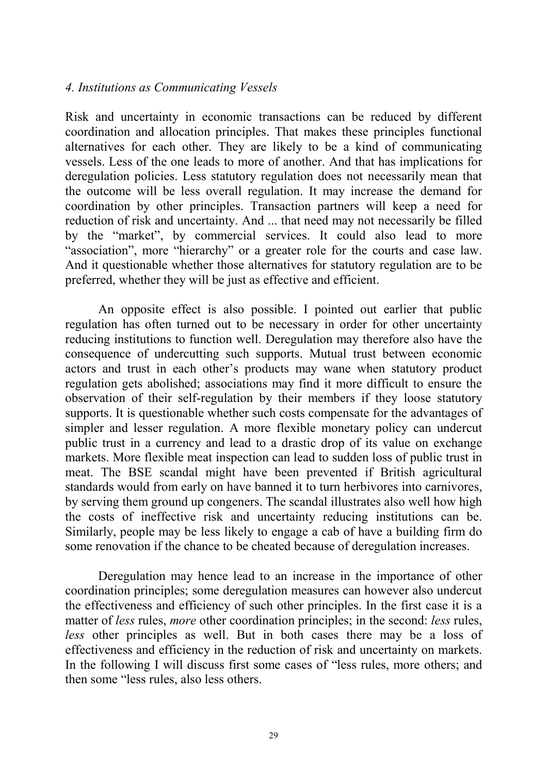#### *4. Institutions as Communicating Vessels*

Risk and uncertainty in economic transactions can be reduced by different coordination and allocation principles. That makes these principles functional alternatives for each other. They are likely to be a kind of communicating vessels. Less of the one leads to more of another. And that has implications for deregulation policies. Less statutory regulation does not necessarily mean that the outcome will be less overall regulation. It may increase the demand for coordination by other principles. Transaction partners will keep a need for reduction of risk and uncertainty. And ... that need may not necessarily be filled by the "market", by commercial services. It could also lead to more "association", more "hierarchy" or a greater role for the courts and case law. And it questionable whether those alternatives for statutory regulation are to be preferred, whether they will be just as effective and efficient.

An opposite effect is also possible. I pointed out earlier that public regulation has often turned out to be necessary in order for other uncertainty reducing institutions to function well. Deregulation may therefore also have the consequence of undercutting such supports. Mutual trust between economic actors and trust in each other's products may wane when statutory product regulation gets abolished; associations may find it more difficult to ensure the observation of their self-regulation by their members if they loose statutory supports. It is questionable whether such costs compensate for the advantages of simpler and lesser regulation. A more flexible monetary policy can undercut public trust in a currency and lead to a drastic drop of its value on exchange markets. More flexible meat inspection can lead to sudden loss of public trust in meat. The BSE scandal might have been prevented if British agricultural standards would from early on have banned it to turn herbivores into carnivores, by serving them ground up congeners. The scandal illustrates also well how high the costs of ineffective risk and uncertainty reducing institutions can be. Similarly, people may be less likely to engage a cab of have a building firm do some renovation if the chance to be cheated because of deregulation increases.

Deregulation may hence lead to an increase in the importance of other coordination principles; some deregulation measures can however also undercut the effectiveness and efficiency of such other principles. In the first case it is a matter of *less* rules, *more* other coordination principles; in the second: *less* rules, *less* other principles as well. But in both cases there may be a loss of effectiveness and efficiency in the reduction of risk and uncertainty on markets. In the following I will discuss first some cases of "less rules, more others; and then some "less rules, also less others.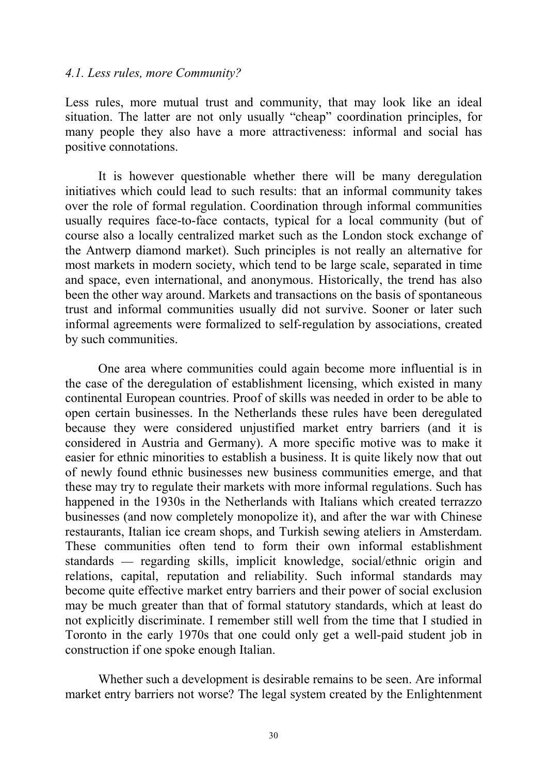#### *4.1. Less rules, more Community?*

Less rules, more mutual trust and community, that may look like an ideal situation. The latter are not only usually "cheap" coordination principles, for many people they also have a more attractiveness: informal and social has positive connotations.

It is however questionable whether there will be many deregulation initiatives which could lead to such results: that an informal community takes over the role of formal regulation. Coordination through informal communities usually requires face-to-face contacts, typical for a local community (but of course also a locally centralized market such as the London stock exchange of the Antwerp diamond market). Such principles is not really an alternative for most markets in modern society, which tend to be large scale, separated in time and space, even international, and anonymous. Historically, the trend has also been the other way around. Markets and transactions on the basis of spontaneous trust and informal communities usually did not survive. Sooner or later such informal agreements were formalized to self-regulation by associations, created by such communities.

One area where communities could again become more influential is in the case of the deregulation of establishment licensing, which existed in many continental European countries. Proof of skills was needed in order to be able to open certain businesses. In the Netherlands these rules have been deregulated because they were considered unjustified market entry barriers (and it is considered in Austria and Germany). A more specific motive was to make it easier for ethnic minorities to establish a business. It is quite likely now that out of newly found ethnic businesses new business communities emerge, and that these may try to regulate their markets with more informal regulations. Such has happened in the 1930s in the Netherlands with Italians which created terrazzo businesses (and now completely monopolize it), and after the war with Chinese restaurants, Italian ice cream shops, and Turkish sewing ateliers in Amsterdam. These communities often tend to form their own informal establishment standards — regarding skills, implicit knowledge, social/ethnic origin and relations, capital, reputation and reliability. Such informal standards may become quite effective market entry barriers and their power of social exclusion may be much greater than that of formal statutory standards, which at least do not explicitly discriminate. I remember still well from the time that I studied in Toronto in the early 1970s that one could only get a well-paid student job in construction if one spoke enough Italian.

Whether such a development is desirable remains to be seen. Are informal market entry barriers not worse? The legal system created by the Enlightenment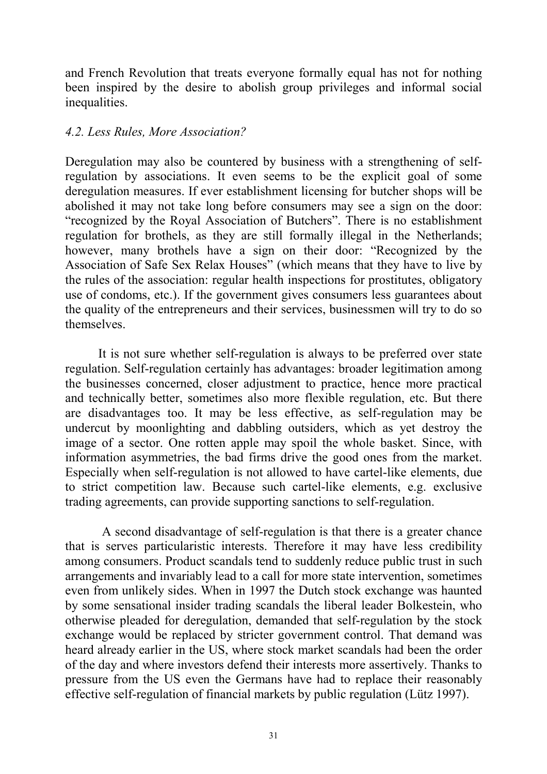and French Revolution that treats everyone formally equal has not for nothing been inspired by the desire to abolish group privileges and informal social inequalities.

#### *4.2. Less Rules, More Association?*

Deregulation may also be countered by business with a strengthening of selfregulation by associations. It even seems to be the explicit goal of some deregulation measures. If ever establishment licensing for butcher shops will be abolished it may not take long before consumers may see a sign on the door: "recognized by the Royal Association of Butchers". There is no establishment regulation for brothels, as they are still formally illegal in the Netherlands; however, many brothels have a sign on their door: "Recognized by the Association of Safe Sex Relax Houses" (which means that they have to live by the rules of the association: regular health inspections for prostitutes, obligatory use of condoms, etc.). If the government gives consumers less guarantees about the quality of the entrepreneurs and their services, businessmen will try to do so themselves.

It is not sure whether self-regulation is always to be preferred over state regulation. Self-regulation certainly has advantages: broader legitimation among the businesses concerned, closer adjustment to practice, hence more practical and technically better, sometimes also more flexible regulation, etc. But there are disadvantages too. It may be less effective, as self-regulation may be undercut by moonlighting and dabbling outsiders, which as yet destroy the image of a sector. One rotten apple may spoil the whole basket. Since, with information asymmetries, the bad firms drive the good ones from the market. Especially when self-regulation is not allowed to have cartel-like elements, due to strict competition law. Because such cartel-like elements, e.g. exclusive trading agreements, can provide supporting sanctions to self-regulation.

 A second disadvantage of self-regulation is that there is a greater chance that is serves particularistic interests. Therefore it may have less credibility among consumers. Product scandals tend to suddenly reduce public trust in such arrangements and invariably lead to a call for more state intervention, sometimes even from unlikely sides. When in 1997 the Dutch stock exchange was haunted by some sensational insider trading scandals the liberal leader Bolkestein, who otherwise pleaded for deregulation, demanded that self-regulation by the stock exchange would be replaced by stricter government control. That demand was heard already earlier in the US, where stock market scandals had been the order of the day and where investors defend their interests more assertively. Thanks to pressure from the US even the Germans have had to replace their reasonably effective self-regulation of financial markets by public regulation (Lütz 1997).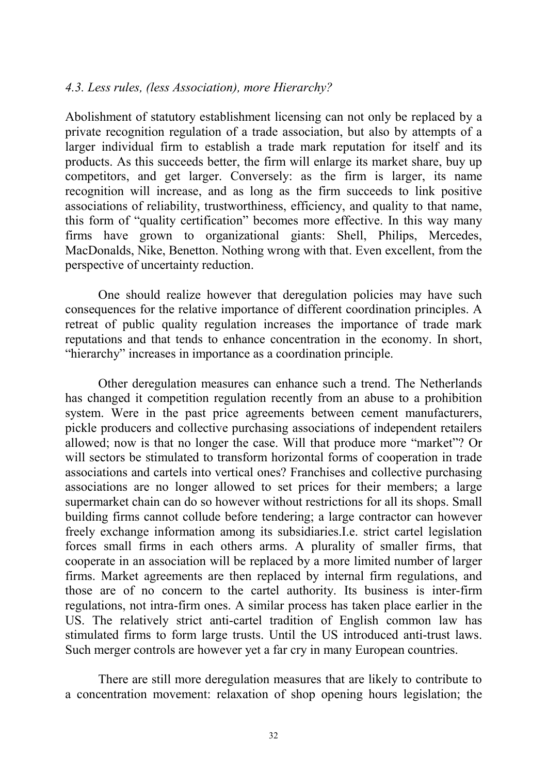#### *4.3. Less rules, (less Association), more Hierarchy?*

Abolishment of statutory establishment licensing can not only be replaced by a private recognition regulation of a trade association, but also by attempts of a larger individual firm to establish a trade mark reputation for itself and its products. As this succeeds better, the firm will enlarge its market share, buy up competitors, and get larger. Conversely: as the firm is larger, its name recognition will increase, and as long as the firm succeeds to link positive associations of reliability, trustworthiness, efficiency, and quality to that name, this form of "quality certification" becomes more effective. In this way many firms have grown to organizational giants: Shell, Philips, Mercedes, MacDonalds, Nike, Benetton. Nothing wrong with that. Even excellent, from the perspective of uncertainty reduction.

One should realize however that deregulation policies may have such consequences for the relative importance of different coordination principles. A retreat of public quality regulation increases the importance of trade mark reputations and that tends to enhance concentration in the economy. In short, "hierarchy" increases in importance as a coordination principle.

Other deregulation measures can enhance such a trend. The Netherlands has changed it competition regulation recently from an abuse to a prohibition system. Were in the past price agreements between cement manufacturers, pickle producers and collective purchasing associations of independent retailers allowed; now is that no longer the case. Will that produce more "market"? Or will sectors be stimulated to transform horizontal forms of cooperation in trade associations and cartels into vertical ones? Franchises and collective purchasing associations are no longer allowed to set prices for their members; a large supermarket chain can do so however without restrictions for all its shops. Small building firms cannot collude before tendering; a large contractor can however freely exchange information among its subsidiaries.I.e. strict cartel legislation forces small firms in each others arms. A plurality of smaller firms, that cooperate in an association will be replaced by a more limited number of larger firms. Market agreements are then replaced by internal firm regulations, and those are of no concern to the cartel authority. Its business is inter-firm regulations, not intra-firm ones. A similar process has taken place earlier in the US. The relatively strict anti-cartel tradition of English common law has stimulated firms to form large trusts. Until the US introduced anti-trust laws. Such merger controls are however yet a far cry in many European countries.

There are still more deregulation measures that are likely to contribute to a concentration movement: relaxation of shop opening hours legislation; the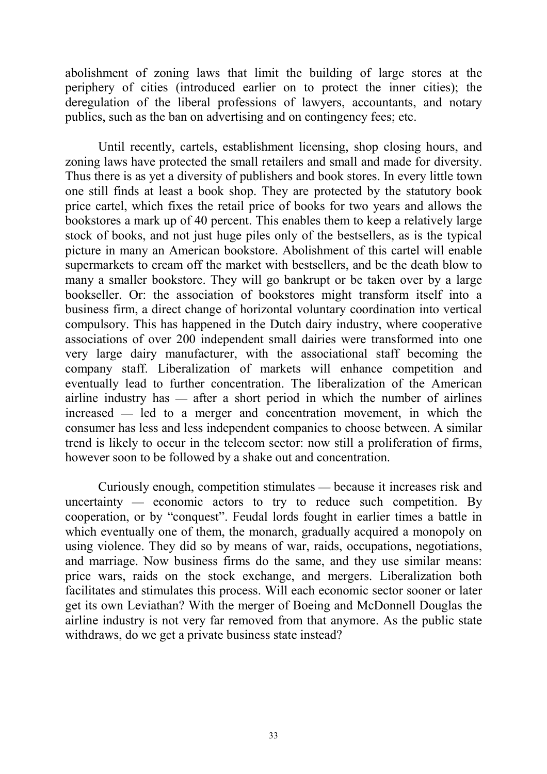abolishment of zoning laws that limit the building of large stores at the periphery of cities (introduced earlier on to protect the inner cities); the deregulation of the liberal professions of lawyers, accountants, and notary publics, such as the ban on advertising and on contingency fees; etc.

Until recently, cartels, establishment licensing, shop closing hours, and zoning laws have protected the small retailers and small and made for diversity. Thus there is as yet a diversity of publishers and book stores. In every little town one still finds at least a book shop. They are protected by the statutory book price cartel, which fixes the retail price of books for two years and allows the bookstores a mark up of 40 percent. This enables them to keep a relatively large stock of books, and not just huge piles only of the bestsellers, as is the typical picture in many an American bookstore. Abolishment of this cartel will enable supermarkets to cream off the market with bestsellers, and be the death blow to many a smaller bookstore. They will go bankrupt or be taken over by a large bookseller. Or: the association of bookstores might transform itself into a business firm, a direct change of horizontal voluntary coordination into vertical compulsory. This has happened in the Dutch dairy industry, where cooperative associations of over 200 independent small dairies were transformed into one very large dairy manufacturer, with the associational staff becoming the company staff. Liberalization of markets will enhance competition and eventually lead to further concentration. The liberalization of the American airline industry has  $-$  after a short period in which the number of airlines  $i$  increased  $\frac{1}{\sqrt{1-\frac{1}{\sqrt{1-\frac{1}{\sqrt{1-\frac{1}{\sqrt{1-\frac{1}{\sqrt{1-\frac{1}{\sqrt{1-\frac{1}{\sqrt{1-\frac{1}{\sqrt{1-\frac{1}{\sqrt{1-\frac{1}{\sqrt{1-\frac{1}{\sqrt{1-\frac{1}{\sqrt{1-\frac{1}{\sqrt{1-\frac{1}{\sqrt{1-\frac{1}{\sqrt{1-\frac{1}{\sqrt{1-\frac{1}{\sqrt{1-\frac{1}{\sqrt{1-\frac{1}{\sqrt{1-\frac{1}{\sqrt{1-\frac{1}{\sqrt{1-\frac{1}{\sqrt{1-\frac{1}{\sqrt{$ consumer has less and less independent companies to choose between. A similar trend is likely to occur in the telecom sector: now still a proliferation of firms, however soon to be followed by a shake out and concentration.

Curiously enough, competition stimulates because it increases risk and uncertainty  $-$  economic actors to try to reduce such competition. By cooperation, or by "conquest". Feudal lords fought in earlier times a battle in which eventually one of them, the monarch, gradually acquired a monopoly on using violence. They did so by means of war, raids, occupations, negotiations, and marriage. Now business firms do the same, and they use similar means: price wars, raids on the stock exchange, and mergers. Liberalization both facilitates and stimulates this process. Will each economic sector sooner or later get its own Leviathan? With the merger of Boeing and McDonnell Douglas the airline industry is not very far removed from that anymore. As the public state withdraws, do we get a private business state instead?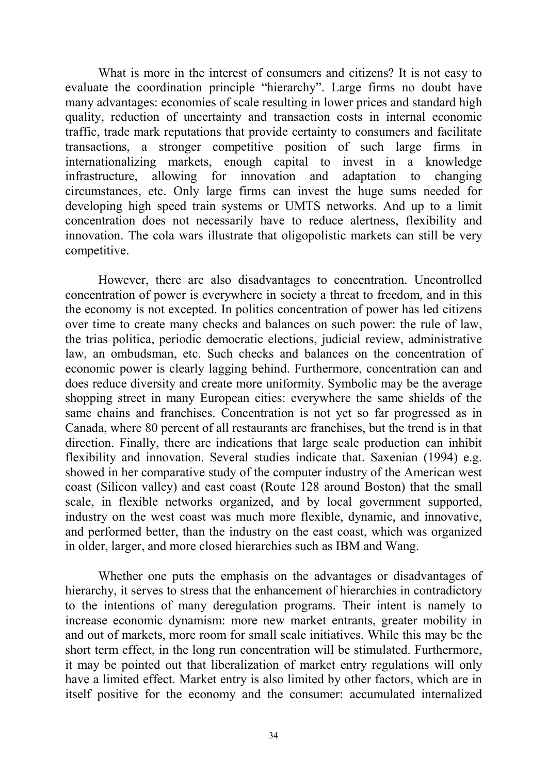What is more in the interest of consumers and citizens? It is not easy to evaluate the coordination principle "hierarchy". Large firms no doubt have many advantages: economies of scale resulting in lower prices and standard high quality, reduction of uncertainty and transaction costs in internal economic traffic, trade mark reputations that provide certainty to consumers and facilitate transactions, a stronger competitive position of such large firms in internationalizing markets, enough capital to invest in a knowledge infrastructure, allowing for innovation and adaptation to changing circumstances, etc. Only large firms can invest the huge sums needed for developing high speed train systems or UMTS networks. And up to a limit concentration does not necessarily have to reduce alertness, flexibility and innovation. The cola wars illustrate that oligopolistic markets can still be very competitive.

However, there are also disadvantages to concentration. Uncontrolled concentration of power is everywhere in society a threat to freedom, and in this the economy is not excepted. In politics concentration of power has led citizens over time to create many checks and balances on such power: the rule of law, the trias politica, periodic democratic elections, judicial review, administrative law, an ombudsman, etc. Such checks and balances on the concentration of economic power is clearly lagging behind. Furthermore, concentration can and does reduce diversity and create more uniformity. Symbolic may be the average shopping street in many European cities: everywhere the same shields of the same chains and franchises. Concentration is not yet so far progressed as in Canada, where 80 percent of all restaurants are franchises, but the trend is in that direction. Finally, there are indications that large scale production can inhibit flexibility and innovation. Several studies indicate that. Saxenian (1994) e.g. showed in her comparative study of the computer industry of the American west coast (Silicon valley) and east coast (Route 128 around Boston) that the small scale, in flexible networks organized, and by local government supported, industry on the west coast was much more flexible, dynamic, and innovative, and performed better, than the industry on the east coast, which was organized in older, larger, and more closed hierarchies such as IBM and Wang.

Whether one puts the emphasis on the advantages or disadvantages of hierarchy, it serves to stress that the enhancement of hierarchies in contradictory to the intentions of many deregulation programs. Their intent is namely to increase economic dynamism: more new market entrants, greater mobility in and out of markets, more room for small scale initiatives. While this may be the short term effect, in the long run concentration will be stimulated. Furthermore, it may be pointed out that liberalization of market entry regulations will only have a limited effect. Market entry is also limited by other factors, which are in itself positive for the economy and the consumer: accumulated internalized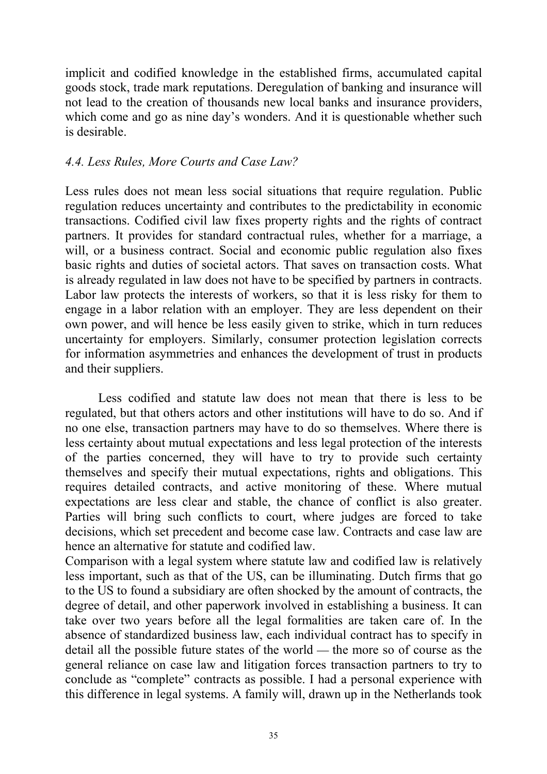implicit and codified knowledge in the established firms, accumulated capital goods stock, trade mark reputations. Deregulation of banking and insurance will not lead to the creation of thousands new local banks and insurance providers, which come and go as nine day's wonders. And it is questionable whether such is desirable.

#### *4.4. Less Rules, More Courts and Case Law?*

Less rules does not mean less social situations that require regulation. Public regulation reduces uncertainty and contributes to the predictability in economic transactions. Codified civil law fixes property rights and the rights of contract partners. It provides for standard contractual rules, whether for a marriage, a will, or a business contract. Social and economic public regulation also fixes basic rights and duties of societal actors. That saves on transaction costs. What is already regulated in law does not have to be specified by partners in contracts. Labor law protects the interests of workers, so that it is less risky for them to engage in a labor relation with an employer. They are less dependent on their own power, and will hence be less easily given to strike, which in turn reduces uncertainty for employers. Similarly, consumer protection legislation corrects for information asymmetries and enhances the development of trust in products and their suppliers.

Less codified and statute law does not mean that there is less to be regulated, but that others actors and other institutions will have to do so. And if no one else, transaction partners may have to do so themselves. Where there is less certainty about mutual expectations and less legal protection of the interests of the parties concerned, they will have to try to provide such certainty themselves and specify their mutual expectations, rights and obligations. This requires detailed contracts, and active monitoring of these. Where mutual expectations are less clear and stable, the chance of conflict is also greater. Parties will bring such conflicts to court, where judges are forced to take decisions, which set precedent and become case law. Contracts and case law are hence an alternative for statute and codified law.

Comparison with a legal system where statute law and codified law is relatively less important, such as that of the US, can be illuminating. Dutch firms that go to the US to found a subsidiary are often shocked by the amount of contracts, the degree of detail, and other paperwork involved in establishing a business. It can take over two years before all the legal formalities are taken care of. In the absence of standardized business law, each individual contract has to specify in detail all the possible future states of the world  $-$  the more so of course as the general reliance on case law and litigation forces transaction partners to try to conclude as "complete" contracts as possible. I had a personal experience with this difference in legal systems. A family will, drawn up in the Netherlands took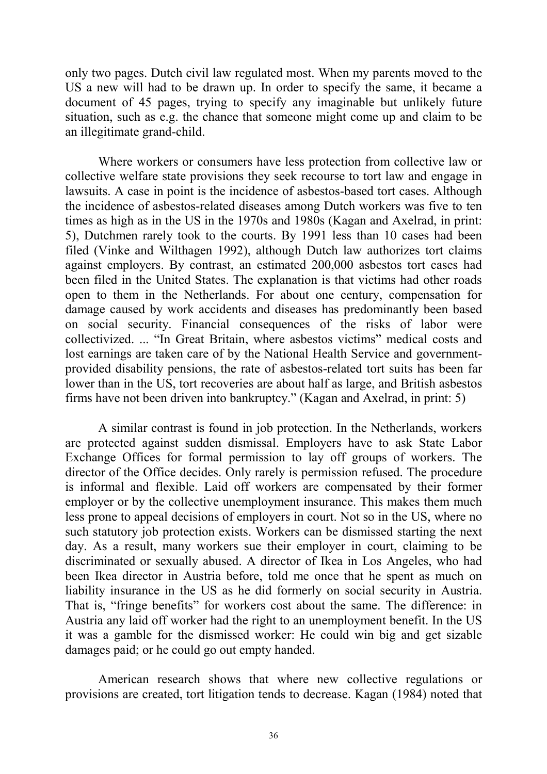only two pages. Dutch civil law regulated most. When my parents moved to the US a new will had to be drawn up. In order to specify the same, it became a document of 45 pages, trying to specify any imaginable but unlikely future situation, such as e.g. the chance that someone might come up and claim to be an illegitimate grand-child.

Where workers or consumers have less protection from collective law or collective welfare state provisions they seek recourse to tort law and engage in lawsuits. A case in point is the incidence of asbestos-based tort cases. Although the incidence of asbestos-related diseases among Dutch workers was five to ten times as high as in the US in the 1970s and 1980s (Kagan and Axelrad, in print: 5), Dutchmen rarely took to the courts. By 1991 less than 10 cases had been filed (Vinke and Wilthagen 1992), although Dutch law authorizes tort claims against employers. By contrast, an estimated 200,000 asbestos tort cases had been filed in the United States. The explanation is that victims had other roads open to them in the Netherlands. For about one century, compensation for damage caused by work accidents and diseases has predominantly been based on social security. Financial consequences of the risks of labor were collectivized. ... "In Great Britain, where asbestos victims" medical costs and lost earnings are taken care of by the National Health Service and governmentprovided disability pensions, the rate of asbestos-related tort suits has been far lower than in the US, tort recoveries are about half as large, and British asbestos firms have not been driven into bankruptcy." (Kagan and Axelrad, in print: 5)

A similar contrast is found in job protection. In the Netherlands, workers are protected against sudden dismissal. Employers have to ask State Labor Exchange Offices for formal permission to lay off groups of workers. The director of the Office decides. Only rarely is permission refused. The procedure is informal and flexible. Laid off workers are compensated by their former employer or by the collective unemployment insurance. This makes them much less prone to appeal decisions of employers in court. Not so in the US, where no such statutory job protection exists. Workers can be dismissed starting the next day. As a result, many workers sue their employer in court, claiming to be discriminated or sexually abused. A director of Ikea in Los Angeles, who had been Ikea director in Austria before, told me once that he spent as much on liability insurance in the US as he did formerly on social security in Austria. That is, "fringe benefits" for workers cost about the same. The difference: in Austria any laid off worker had the right to an unemployment benefit. In the US it was a gamble for the dismissed worker: He could win big and get sizable damages paid; or he could go out empty handed.

American research shows that where new collective regulations or provisions are created, tort litigation tends to decrease. Kagan (1984) noted that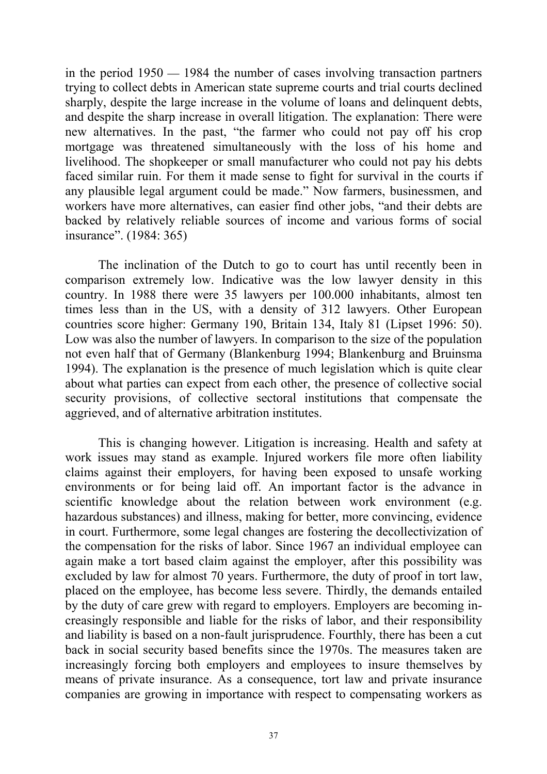in the period  $1950 - 1984$  the number of cases involving transaction partners trying to collect debts in American state supreme courts and trial courts declined sharply, despite the large increase in the volume of loans and delinquent debts, and despite the sharp increase in overall litigation. The explanation: There were new alternatives. In the past, "the farmer who could not pay off his crop mortgage was threatened simultaneously with the loss of his home and livelihood. The shopkeeper or small manufacturer who could not pay his debts faced similar ruin. For them it made sense to fight for survival in the courts if any plausible legal argument could be made." Now farmers, businessmen, and workers have more alternatives, can easier find other jobs, "and their debts are backed by relatively reliable sources of income and various forms of social insurance". (1984: 365)

The inclination of the Dutch to go to court has until recently been in comparison extremely low. Indicative was the low lawyer density in this country. In 1988 there were 35 lawyers per 100.000 inhabitants, almost ten times less than in the US, with a density of 312 lawyers. Other European countries score higher: Germany 190, Britain 134, Italy 81 (Lipset 1996: 50). Low was also the number of lawyers. In comparison to the size of the population not even half that of Germany (Blankenburg 1994; Blankenburg and Bruinsma 1994). The explanation is the presence of much legislation which is quite clear about what parties can expect from each other, the presence of collective social security provisions, of collective sectoral institutions that compensate the aggrieved, and of alternative arbitration institutes.

This is changing however. Litigation is increasing. Health and safety at work issues may stand as example. Injured workers file more often liability claims against their employers, for having been exposed to unsafe working environments or for being laid off. An important factor is the advance in scientific knowledge about the relation between work environment (e.g. hazardous substances) and illness, making for better, more convincing, evidence in court. Furthermore, some legal changes are fostering the decollectivization of the compensation for the risks of labor. Since 1967 an individual employee can again make a tort based claim against the employer, after this possibility was excluded by law for almost 70 years. Furthermore, the duty of proof in tort law, placed on the employee, has become less severe. Thirdly, the demands entailed by the duty of care grew with regard to employers. Employers are becoming increasingly responsible and liable for the risks of labor, and their responsibility and liability is based on a non-fault jurisprudence. Fourthly, there has been a cut back in social security based benefits since the 1970s. The measures taken are increasingly forcing both employers and employees to insure themselves by means of private insurance. As a consequence, tort law and private insurance companies are growing in importance with respect to compensating workers as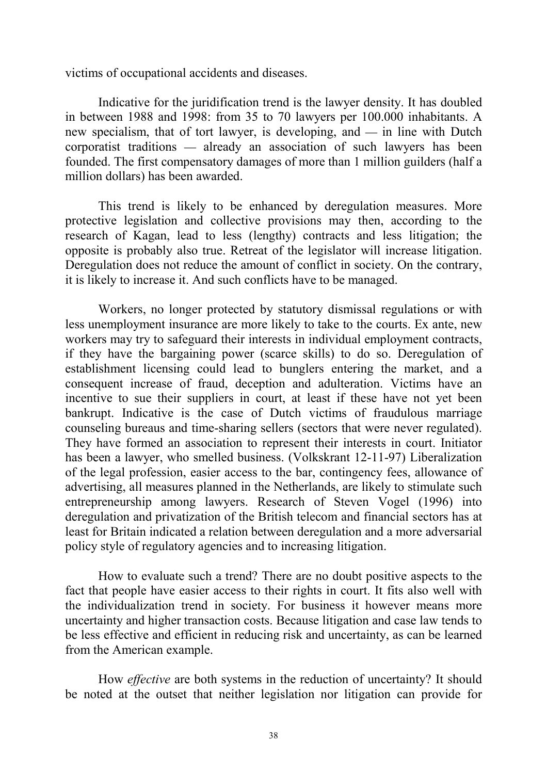victims of occupational accidents and diseases.

Indicative for the juridification trend is the lawyer density. It has doubled in between 1988 and 1998: from 35 to 70 lawyers per 100.000 inhabitants. A new specialism, that of tort lawyer, is developing, and  $-$  in line with Dutch  $\alpha$  corporatist traditions  $\alpha$  already an association of such lawyers has been founded. The first compensatory damages of more than 1 million guilders (half a million dollars) has been awarded.

This trend is likely to be enhanced by deregulation measures. More protective legislation and collective provisions may then, according to the research of Kagan, lead to less (lengthy) contracts and less litigation; the opposite is probably also true. Retreat of the legislator will increase litigation. Deregulation does not reduce the amount of conflict in society. On the contrary, it is likely to increase it. And such conflicts have to be managed.

Workers, no longer protected by statutory dismissal regulations or with less unemployment insurance are more likely to take to the courts. Ex ante, new workers may try to safeguard their interests in individual employment contracts, if they have the bargaining power (scarce skills) to do so. Deregulation of establishment licensing could lead to bunglers entering the market, and a consequent increase of fraud, deception and adulteration. Victims have an incentive to sue their suppliers in court, at least if these have not yet been bankrupt. Indicative is the case of Dutch victims of fraudulous marriage counseling bureaus and time-sharing sellers (sectors that were never regulated). They have formed an association to represent their interests in court. Initiator has been a lawyer, who smelled business. (Volkskrant 12-11-97) Liberalization of the legal profession, easier access to the bar, contingency fees, allowance of advertising, all measures planned in the Netherlands, are likely to stimulate such entrepreneurship among lawyers. Research of Steven Vogel (1996) into deregulation and privatization of the British telecom and financial sectors has at least for Britain indicated a relation between deregulation and a more adversarial policy style of regulatory agencies and to increasing litigation.

How to evaluate such a trend? There are no doubt positive aspects to the fact that people have easier access to their rights in court. It fits also well with the individualization trend in society. For business it however means more uncertainty and higher transaction costs. Because litigation and case law tends to be less effective and efficient in reducing risk and uncertainty, as can be learned from the American example.

How *effective* are both systems in the reduction of uncertainty? It should be noted at the outset that neither legislation nor litigation can provide for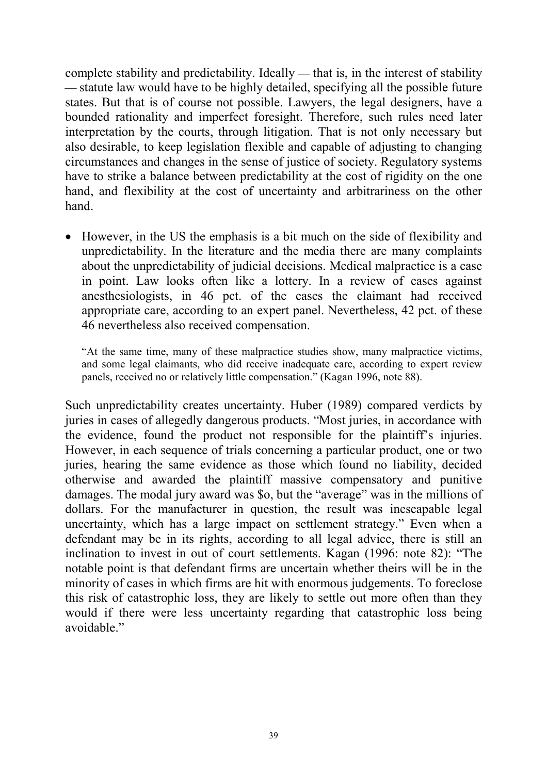complete stability and predictability. Ideally  $-$  that is, in the interest of stability statute law would have to be highly detailed, specifying all the possible future states. But that is of course not possible. Lawyers, the legal designers, have a bounded rationality and imperfect foresight. Therefore, such rules need later interpretation by the courts, through litigation. That is not only necessary but also desirable, to keep legislation flexible and capable of adjusting to changing circumstances and changes in the sense of justice of society. Regulatory systems have to strike a balance between predictability at the cost of rigidity on the one hand, and flexibility at the cost of uncertainty and arbitrariness on the other hand.

 However, in the US the emphasis is a bit much on the side of flexibility and unpredictability. In the literature and the media there are many complaints about the unpredictability of judicial decisions. Medical malpractice is a case in point. Law looks often like a lottery. In a review of cases against anesthesiologists, in 46 pct. of the cases the claimant had received appropriate care, according to an expert panel. Nevertheless, 42 pct. of these 46 nevertheless also received compensation.

"At the same time, many of these malpractice studies show, many malpractice victims, and some legal claimants, who did receive inadequate care, according to expert review panels, received no or relatively little compensation." (Kagan 1996, note 88).

Such unpredictability creates uncertainty. Huber (1989) compared verdicts by juries in cases of allegedly dangerous products. "Most juries, in accordance with the evidence, found the product not responsible for the plaintiff's injuries. However, in each sequence of trials concerning a particular product, one or two juries, hearing the same evidence as those which found no liability, decided otherwise and awarded the plaintiff massive compensatory and punitive damages. The modal jury award was \$o, but the "average" was in the millions of dollars. For the manufacturer in question, the result was inescapable legal uncertainty, which has a large impact on settlement strategy." Even when a defendant may be in its rights, according to all legal advice, there is still an inclination to invest in out of court settlements. Kagan (1996: note 82): "The notable point is that defendant firms are uncertain whether theirs will be in the minority of cases in which firms are hit with enormous judgements. To foreclose this risk of catastrophic loss, they are likely to settle out more often than they would if there were less uncertainty regarding that catastrophic loss being avoidable."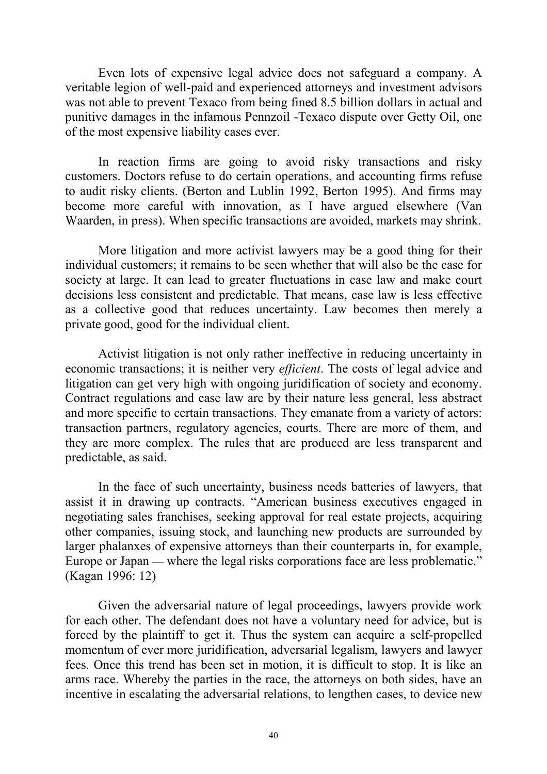Even lots of expensive legal advice does not safeguard a company. A veritable legion of well-paid and experienced attorneys and investment advisors was not able to prevent Texaco from being fined 8.5 billion dollars in actual and punitive damages in the infamous Pennzoil -Texaco dispute over Getty Oil, one of the most expensive liability cases ever.

In reaction firms are going to avoid risky transactions and risky customers. Doctors refuse to do certain operations, and accounting firms refuse to audit risky clients. (Berton and Lublin 1992, Berton 1995). And firms may become more careful with innovation, as I have argued elsewhere (Van Waarden, in press). When specific transactions are avoided, markets may shrink.

More litigation and more activist lawyers may be a good thing for their individual customers; it remains to be seen whether that will also be the case for society at large. It can lead to greater fluctuations in case law and make court decisions less consistent and predictable. That means, case law is less effective as a collective good that reduces uncertainty. Law becomes then merely a private good, good for the individual client.

Activist litigation is not only rather ineffective in reducing uncertainty in economic transactions; it is neither very *efficient*. The costs of legal advice and litigation can get very high with ongoing juridification of society and economy. Contract regulations and case law are by their nature less general, less abstract and more specific to certain transactions. They emanate from a variety of actors: transaction partners, regulatory agencies, courts. There are more of them, and they are more complex. The rules that are produced are less transparent and predictable, as said.

In the face of such uncertainty, business needs batteries of lawyers, that assist it in drawing up contracts. "American business executives engaged in negotiating sales franchises, seeking approval for real estate projects, acquiring other companies, issuing stock, and launching new products are surrounded by larger phalanxes of expensive attorneys than their counterparts in, for example, Europe or Japan — where the legal risks corporations face are less problematic." (Kagan 1996: 12)

Given the adversarial nature of legal proceedings, lawyers provide work for each other. The defendant does not have a voluntary need for advice, but is forced by the plaintiff to get it. Thus the system can acquire a self-propelled momentum of ever more juridification, adversarial legalism, lawyers and lawyer fees. Once this trend has been set in motion, it is difficult to stop. It is like an arms race. Whereby the parties in the race, the attorneys on both sides, have an incentive in escalating the adversarial relations, to lengthen cases, to device new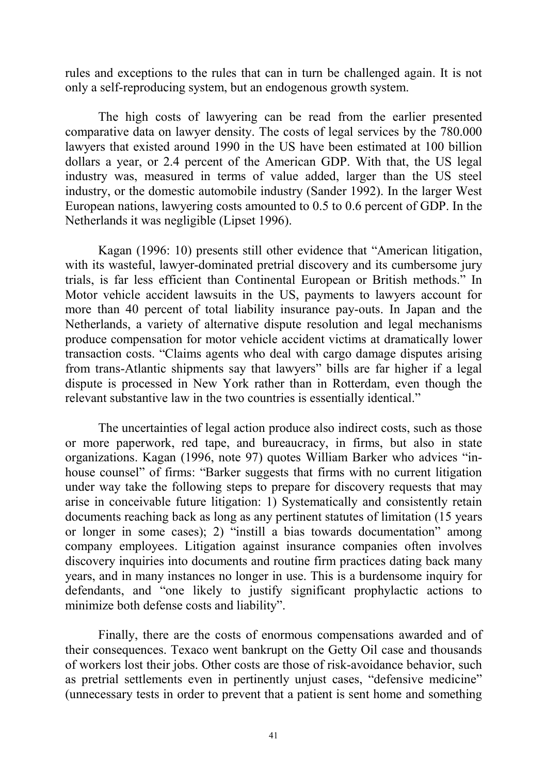rules and exceptions to the rules that can in turn be challenged again. It is not only a self-reproducing system, but an endogenous growth system.

The high costs of lawyering can be read from the earlier presented comparative data on lawyer density. The costs of legal services by the 780.000 lawyers that existed around 1990 in the US have been estimated at 100 billion dollars a year, or 2.4 percent of the American GDP. With that, the US legal industry was, measured in terms of value added, larger than the US steel industry, or the domestic automobile industry (Sander 1992). In the larger West European nations, lawyering costs amounted to 0.5 to 0.6 percent of GDP. In the Netherlands it was negligible (Lipset 1996).

Kagan (1996: 10) presents still other evidence that "American litigation, with its wasteful, lawyer-dominated pretrial discovery and its cumbersome jury trials, is far less efficient than Continental European or British methods." In Motor vehicle accident lawsuits in the US, payments to lawyers account for more than 40 percent of total liability insurance pay-outs. In Japan and the Netherlands, a variety of alternative dispute resolution and legal mechanisms produce compensation for motor vehicle accident victims at dramatically lower transaction costs. "Claims agents who deal with cargo damage disputes arising from trans-Atlantic shipments say that lawyers" bills are far higher if a legal dispute is processed in New York rather than in Rotterdam, even though the relevant substantive law in the two countries is essentially identical."

The uncertainties of legal action produce also indirect costs, such as those or more paperwork, red tape, and bureaucracy, in firms, but also in state organizations. Kagan (1996, note 97) quotes William Barker who advices "inhouse counsel" of firms: "Barker suggests that firms with no current litigation under way take the following steps to prepare for discovery requests that may arise in conceivable future litigation: 1) Systematically and consistently retain documents reaching back as long as any pertinent statutes of limitation (15 years or longer in some cases); 2) "instill a bias towards documentation" among company employees. Litigation against insurance companies often involves discovery inquiries into documents and routine firm practices dating back many years, and in many instances no longer in use. This is a burdensome inquiry for defendants, and "one likely to justify significant prophylactic actions to minimize both defense costs and liability".

Finally, there are the costs of enormous compensations awarded and of their consequences. Texaco went bankrupt on the Getty Oil case and thousands of workers lost their jobs. Other costs are those of risk-avoidance behavior, such as pretrial settlements even in pertinently unjust cases, "defensive medicine" (unnecessary tests in order to prevent that a patient is sent home and something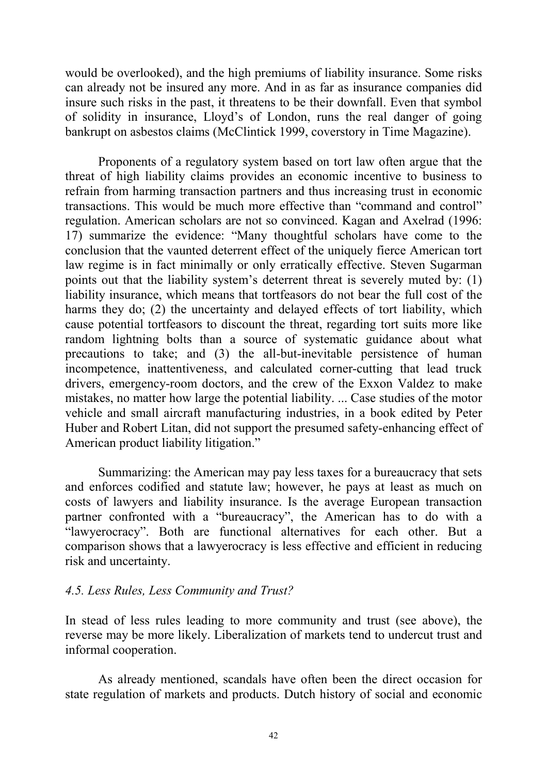would be overlooked), and the high premiums of liability insurance. Some risks can already not be insured any more. And in as far as insurance companies did insure such risks in the past, it threatens to be their downfall. Even that symbol of solidity in insurance, Lloyd's of London, runs the real danger of going bankrupt on asbestos claims (McClintick 1999, coverstory in Time Magazine).

Proponents of a regulatory system based on tort law often argue that the threat of high liability claims provides an economic incentive to business to refrain from harming transaction partners and thus increasing trust in economic transactions. This would be much more effective than "command and control" regulation. American scholars are not so convinced. Kagan and Axelrad (1996: 17) summarize the evidence: "Many thoughtful scholars have come to the conclusion that the vaunted deterrent effect of the uniquely fierce American tort law regime is in fact minimally or only erratically effective. Steven Sugarman points out that the liability system's deterrent threat is severely muted by: (1) liability insurance, which means that tortfeasors do not bear the full cost of the harms they do; (2) the uncertainty and delayed effects of tort liability, which cause potential tortfeasors to discount the threat, regarding tort suits more like random lightning bolts than a source of systematic guidance about what precautions to take; and (3) the all-but-inevitable persistence of human incompetence, inattentiveness, and calculated corner-cutting that lead truck drivers, emergency-room doctors, and the crew of the Exxon Valdez to make mistakes, no matter how large the potential liability. ... Case studies of the motor vehicle and small aircraft manufacturing industries, in a book edited by Peter Huber and Robert Litan, did not support the presumed safety-enhancing effect of American product liability litigation."

Summarizing: the American may pay less taxes for a bureaucracy that sets and enforces codified and statute law; however, he pays at least as much on costs of lawyers and liability insurance. Is the average European transaction partner confronted with a "bureaucracy", the American has to do with a "lawyerocracy". Both are functional alternatives for each other. But a comparison shows that a lawyerocracy is less effective and efficient in reducing risk and uncertainty.

# *4.5. Less Rules, Less Community and Trust?*

In stead of less rules leading to more community and trust (see above), the reverse may be more likely. Liberalization of markets tend to undercut trust and informal cooperation.

As already mentioned, scandals have often been the direct occasion for state regulation of markets and products. Dutch history of social and economic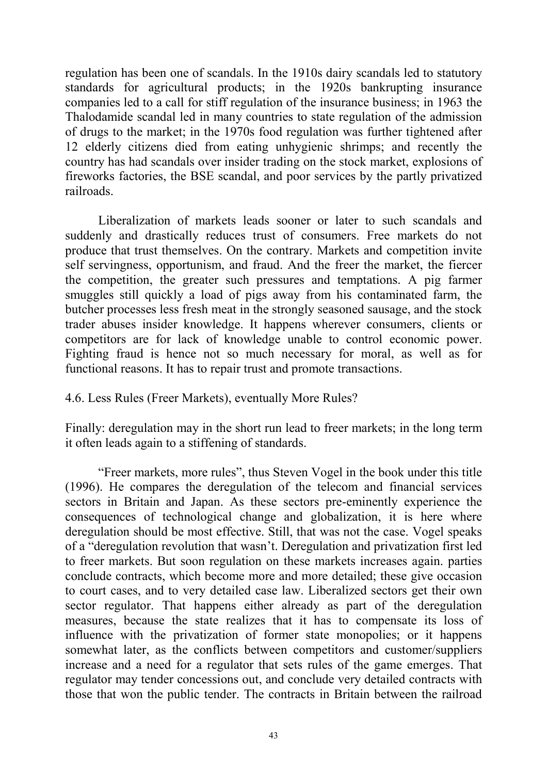regulation has been one of scandals. In the 1910s dairy scandals led to statutory standards for agricultural products; in the 1920s bankrupting insurance companies led to a call for stiff regulation of the insurance business; in 1963 the Thalodamide scandal led in many countries to state regulation of the admission of drugs to the market; in the 1970s food regulation was further tightened after 12 elderly citizens died from eating unhygienic shrimps; and recently the country has had scandals over insider trading on the stock market, explosions of fireworks factories, the BSE scandal, and poor services by the partly privatized railroads.

Liberalization of markets leads sooner or later to such scandals and suddenly and drastically reduces trust of consumers. Free markets do not produce that trust themselves. On the contrary. Markets and competition invite self servingness, opportunism, and fraud. And the freer the market, the fiercer the competition, the greater such pressures and temptations. A pig farmer smuggles still quickly a load of pigs away from his contaminated farm, the butcher processes less fresh meat in the strongly seasoned sausage, and the stock trader abuses insider knowledge. It happens wherever consumers, clients or competitors are for lack of knowledge unable to control economic power. Fighting fraud is hence not so much necessary for moral, as well as for functional reasons. It has to repair trust and promote transactions.

# 4.6. Less Rules (Freer Markets), eventually More Rules?

Finally: deregulation may in the short run lead to freer markets; in the long term it often leads again to a stiffening of standards.

"Freer markets, more rules", thus Steven Vogel in the book under this title (1996). He compares the deregulation of the telecom and financial services sectors in Britain and Japan. As these sectors pre-eminently experience the consequences of technological change and globalization, it is here where deregulation should be most effective. Still, that was not the case. Vogel speaks of a "deregulation revolution that wasn't. Deregulation and privatization first led to freer markets. But soon regulation on these markets increases again. parties conclude contracts, which become more and more detailed; these give occasion to court cases, and to very detailed case law. Liberalized sectors get their own sector regulator. That happens either already as part of the deregulation measures, because the state realizes that it has to compensate its loss of influence with the privatization of former state monopolies; or it happens somewhat later, as the conflicts between competitors and customer/suppliers increase and a need for a regulator that sets rules of the game emerges. That regulator may tender concessions out, and conclude very detailed contracts with those that won the public tender. The contracts in Britain between the railroad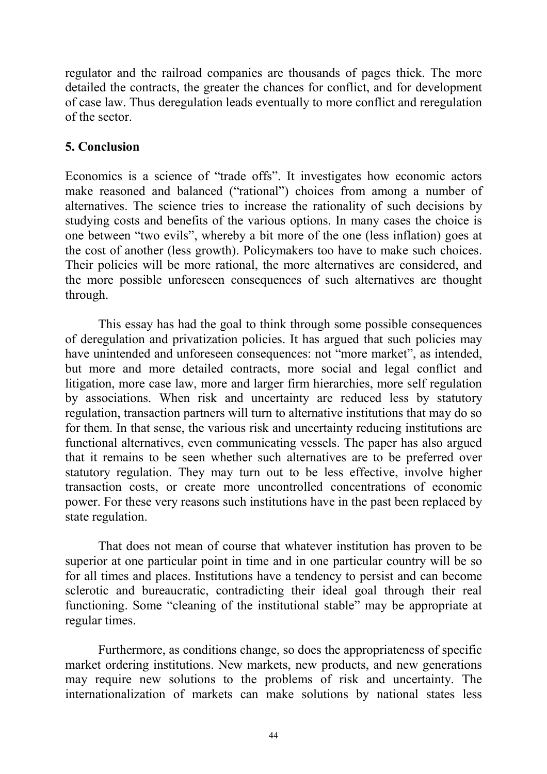regulator and the railroad companies are thousands of pages thick. The more detailed the contracts, the greater the chances for conflict, and for development of case law. Thus deregulation leads eventually to more conflict and reregulation of the sector.

# **5. Conclusion**

Economics is a science of "trade offs". It investigates how economic actors make reasoned and balanced ("rational") choices from among a number of alternatives. The science tries to increase the rationality of such decisions by studying costs and benefits of the various options. In many cases the choice is one between "two evils", whereby a bit more of the one (less inflation) goes at the cost of another (less growth). Policymakers too have to make such choices. Their policies will be more rational, the more alternatives are considered, and the more possible unforeseen consequences of such alternatives are thought through.

This essay has had the goal to think through some possible consequences of deregulation and privatization policies. It has argued that such policies may have unintended and unforeseen consequences: not "more market", as intended, but more and more detailed contracts, more social and legal conflict and litigation, more case law, more and larger firm hierarchies, more self regulation by associations. When risk and uncertainty are reduced less by statutory regulation, transaction partners will turn to alternative institutions that may do so for them. In that sense, the various risk and uncertainty reducing institutions are functional alternatives, even communicating vessels. The paper has also argued that it remains to be seen whether such alternatives are to be preferred over statutory regulation. They may turn out to be less effective, involve higher transaction costs, or create more uncontrolled concentrations of economic power. For these very reasons such institutions have in the past been replaced by state regulation.

That does not mean of course that whatever institution has proven to be superior at one particular point in time and in one particular country will be so for all times and places. Institutions have a tendency to persist and can become sclerotic and bureaucratic, contradicting their ideal goal through their real functioning. Some "cleaning of the institutional stable" may be appropriate at regular times.

Furthermore, as conditions change, so does the appropriateness of specific market ordering institutions. New markets, new products, and new generations may require new solutions to the problems of risk and uncertainty. The internationalization of markets can make solutions by national states less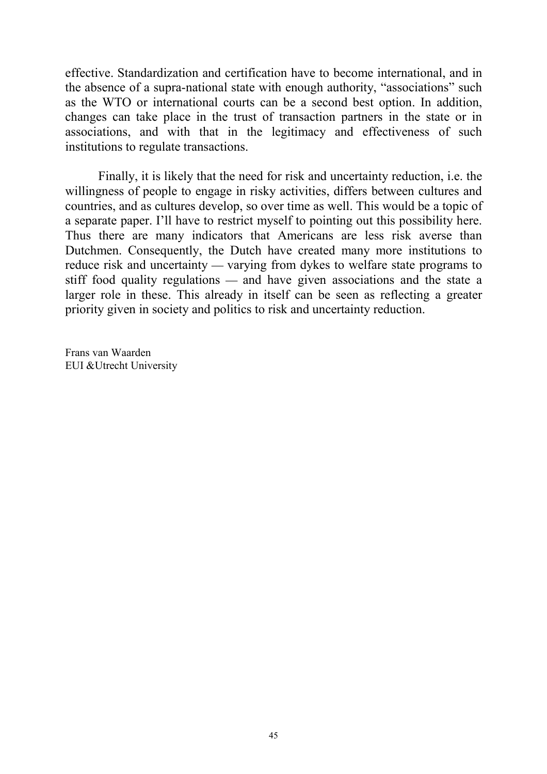effective. Standardization and certification have to become international, and in the absence of a supra-national state with enough authority, "associations" such as the WTO or international courts can be a second best option. In addition, changes can take place in the trust of transaction partners in the state or in associations, and with that in the legitimacy and effectiveness of such institutions to regulate transactions.

Finally, it is likely that the need for risk and uncertainty reduction, i.e. the willingness of people to engage in risky activities, differs between cultures and countries, and as cultures develop, so over time as well. This would be a topic of a separate paper. I'll have to restrict myself to pointing out this possibility here. Thus there are many indicators that Americans are less risk averse than Dutchmen. Consequently, the Dutch have created many more institutions to reduce risk and uncertainty — varying from dykes to welfare state programs to stiff food quality regulations  $-$  and have given associations and the state a larger role in these. This already in itself can be seen as reflecting a greater priority given in society and politics to risk and uncertainty reduction.

Frans van Waarden EUI &Utrecht University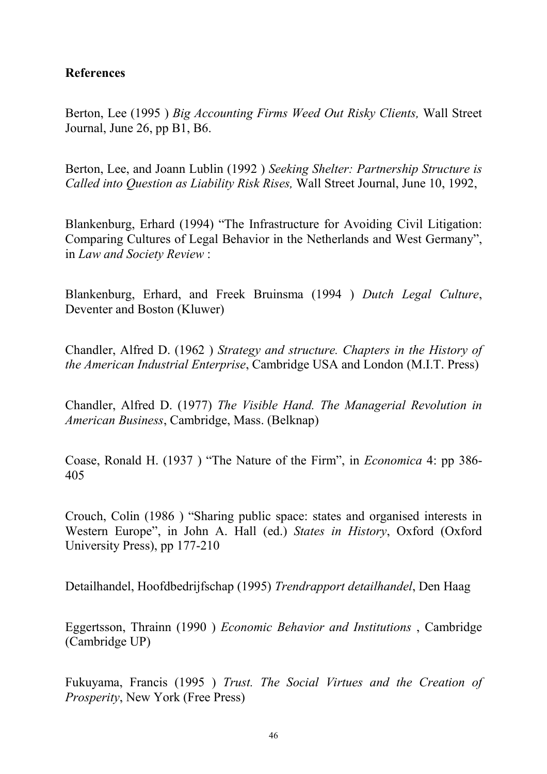#### **References**

Berton, Lee (1995 ) *Big Accounting Firms Weed Out Risky Clients,* Wall Street Journal, June 26, pp B1, B6.

Berton, Lee, and Joann Lublin (1992 ) *Seeking Shelter: Partnership Structure is Called into Question as Liability Risk Rises,* Wall Street Journal, June 10, 1992,

Blankenburg, Erhard (1994) "The Infrastructure for Avoiding Civil Litigation: Comparing Cultures of Legal Behavior in the Netherlands and West Germany", in *Law and Society Review* :

Blankenburg, Erhard, and Freek Bruinsma (1994 ) *Dutch Legal Culture*, Deventer and Boston (Kluwer)

Chandler, Alfred D. (1962 ) *Strategy and structure. Chapters in the History of the American Industrial Enterprise*, Cambridge USA and London (M.I.T. Press)

Chandler, Alfred D. (1977) *The Visible Hand. The Managerial Revolution in American Business*, Cambridge, Mass. (Belknap)

Coase, Ronald H. (1937 ) "The Nature of the Firm", in *Economica* 4: pp 386- 405

Crouch, Colin (1986 ) "Sharing public space: states and organised interests in Western Europe", in John A. Hall (ed.) *States in History*, Oxford (Oxford University Press), pp 177-210

Detailhandel, Hoofdbedrijfschap (1995) *Trendrapport detailhandel*, Den Haag

Eggertsson, Thrainn (1990 ) *Economic Behavior and Institutions* , Cambridge (Cambridge UP)

Fukuyama, Francis (1995 ) *Trust. The Social Virtues and the Creation of Prosperity*, New York (Free Press)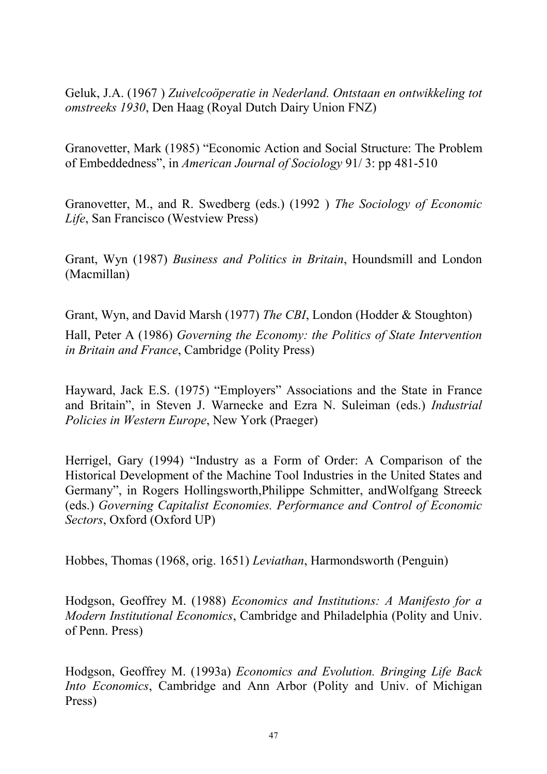Geluk, J.A. (1967 ) *Zuivelcoöperatie in Nederland. Ontstaan en ontwikkeling tot omstreeks 1930*, Den Haag (Royal Dutch Dairy Union FNZ)

Granovetter, Mark (1985) "Economic Action and Social Structure: The Problem of Embeddedness", in *American Journal of Sociology* 91/ 3: pp 481-510

Granovetter, M., and R. Swedberg (eds.) (1992 ) *The Sociology of Economic Life*, San Francisco (Westview Press)

Grant, Wyn (1987) *Business and Politics in Britain*, Houndsmill and London (Macmillan)

Grant, Wyn, and David Marsh (1977) *The CBI*, London (Hodder & Stoughton) Hall, Peter A (1986) *Governing the Economy: the Politics of State Intervention in Britain and France*, Cambridge (Polity Press)

Hayward, Jack E.S. (1975) "Employers" Associations and the State in France and Britain", in Steven J. Warnecke and Ezra N. Suleiman (eds.) *Industrial Policies in Western Europe*, New York (Praeger)

Herrigel, Gary (1994) "Industry as a Form of Order: A Comparison of the Historical Development of the Machine Tool Industries in the United States and Germany", in Rogers Hollingsworth,Philippe Schmitter, andWolfgang Streeck (eds.) *Governing Capitalist Economies. Performance and Control of Economic Sectors*, Oxford (Oxford UP)

Hobbes, Thomas (1968, orig. 1651) *Leviathan*, Harmondsworth (Penguin)

Hodgson, Geoffrey M. (1988) *Economics and Institutions: A Manifesto for a Modern Institutional Economics*, Cambridge and Philadelphia (Polity and Univ. of Penn. Press)

Hodgson, Geoffrey M. (1993a) *Economics and Evolution. Bringing Life Back Into Economics*, Cambridge and Ann Arbor (Polity and Univ. of Michigan Press)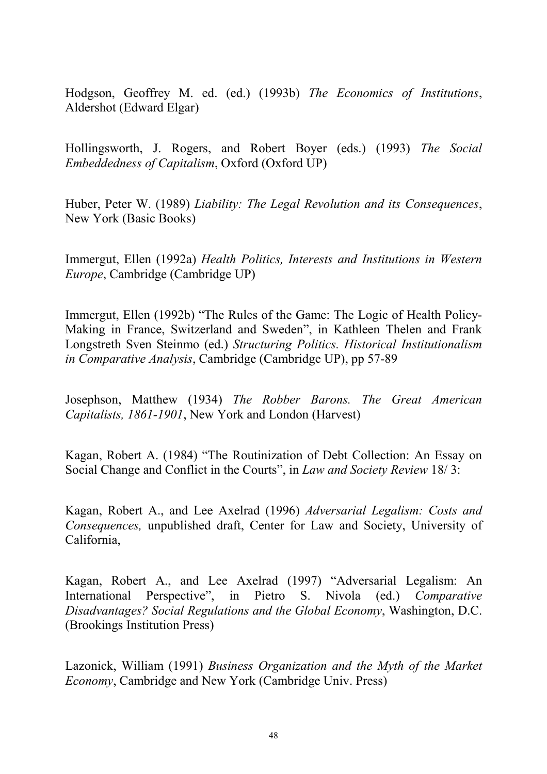Hodgson, Geoffrey M. ed. (ed.) (1993b) *The Economics of Institutions*, Aldershot (Edward Elgar)

Hollingsworth, J. Rogers, and Robert Boyer (eds.) (1993) *The Social Embeddedness of Capitalism*, Oxford (Oxford UP)

Huber, Peter W. (1989) *Liability: The Legal Revolution and its Consequences*, New York (Basic Books)

Immergut, Ellen (1992a) *Health Politics, Interests and Institutions in Western Europe*, Cambridge (Cambridge UP)

Immergut, Ellen (1992b) "The Rules of the Game: The Logic of Health Policy-Making in France, Switzerland and Sweden", in Kathleen Thelen and Frank Longstreth Sven Steinmo (ed.) *Structuring Politics. Historical Institutionalism in Comparative Analysis*, Cambridge (Cambridge UP), pp 57-89

Josephson, Matthew (1934) *The Robber Barons. The Great American Capitalists, 1861-1901*, New York and London (Harvest)

Kagan, Robert A. (1984) "The Routinization of Debt Collection: An Essay on Social Change and Conflict in the Courts", in *Law and Society Review* 18/ 3:

Kagan, Robert A., and Lee Axelrad (1996) *Adversarial Legalism: Costs and Consequences,* unpublished draft, Center for Law and Society, University of California,

Kagan, Robert A., and Lee Axelrad (1997) "Adversarial Legalism: An International Perspective", in Pietro S. Nivola (ed.) *Comparative Disadvantages? Social Regulations and the Global Economy*, Washington, D.C. (Brookings Institution Press)

Lazonick, William (1991) *Business Organization and the Myth of the Market Economy*, Cambridge and New York (Cambridge Univ. Press)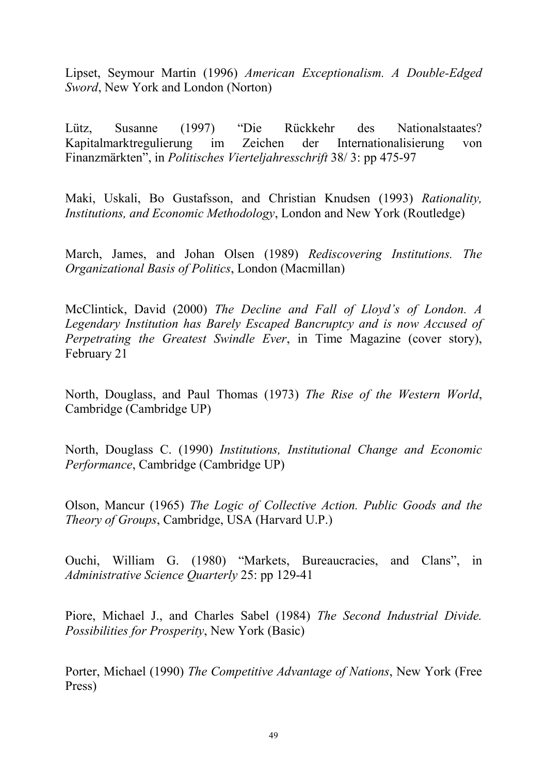Lipset, Seymour Martin (1996) *American Exceptionalism. A Double-Edged Sword*, New York and London (Norton)

Lütz, Susanne (1997) "Die Rückkehr des Nationalstaates? Kapitalmarktregulierung im Zeichen der Internationalisierung von Finanzmärkten", in *Politisches Vierteljahresschrift* 38/ 3: pp 475-97

Maki, Uskali, Bo Gustafsson, and Christian Knudsen (1993) *Rationality, Institutions, and Economic Methodology*, London and New York (Routledge)

March, James, and Johan Olsen (1989) *Rediscovering Institutions. The Organizational Basis of Politics*, London (Macmillan)

McClintick, David (2000) *The Decline and Fall of Lloyd's of London. A Legendary Institution has Barely Escaped Bancruptcy and is now Accused of Perpetrating the Greatest Swindle Ever*, in Time Magazine (cover story), February 21

North, Douglass, and Paul Thomas (1973) *The Rise of the Western World*, Cambridge (Cambridge UP)

North, Douglass C. (1990) *Institutions, Institutional Change and Economic Performance*, Cambridge (Cambridge UP)

Olson, Mancur (1965) *The Logic of Collective Action. Public Goods and the Theory of Groups*, Cambridge, USA (Harvard U.P.)

Ouchi, William G. (1980) "Markets, Bureaucracies, and Clans", in *Administrative Science Quarterly* 25: pp 129-41

Piore, Michael J., and Charles Sabel (1984) *The Second Industrial Divide. Possibilities for Prosperity*, New York (Basic)

Porter, Michael (1990) *The Competitive Advantage of Nations*, New York (Free Press)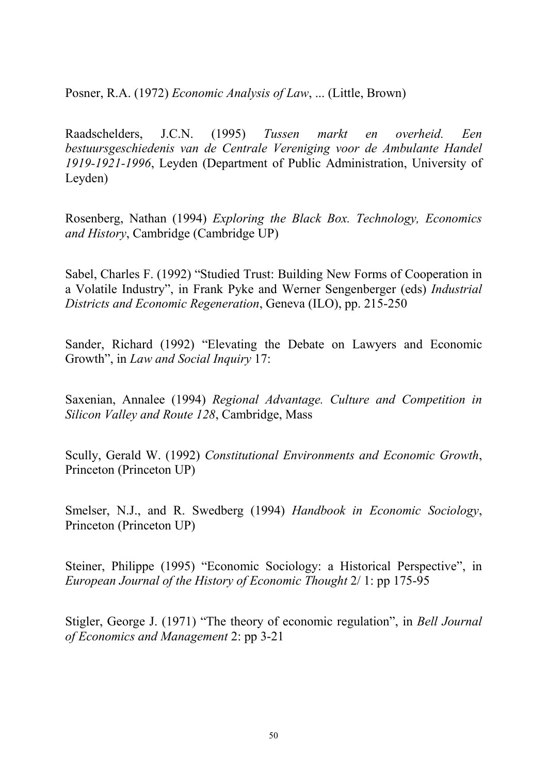Posner, R.A. (1972) *Economic Analysis of Law*, ... (Little, Brown)

Raadschelders, J.C.N. (1995) *Tussen markt en overheid. Een bestuursgeschiedenis van de Centrale Vereniging voor de Ambulante Handel 1919-1921-1996*, Leyden (Department of Public Administration, University of Leyden)

Rosenberg, Nathan (1994) *Exploring the Black Box. Technology, Economics and History*, Cambridge (Cambridge UP)

Sabel, Charles F. (1992) "Studied Trust: Building New Forms of Cooperation in a Volatile Industry", in Frank Pyke and Werner Sengenberger (eds) *Industrial Districts and Economic Regeneration*, Geneva (ILO), pp. 215-250

Sander, Richard (1992) "Elevating the Debate on Lawyers and Economic Growth", in *Law and Social Inquiry* 17:

Saxenian, Annalee (1994) *Regional Advantage. Culture and Competition in Silicon Valley and Route 128*, Cambridge, Mass

Scully, Gerald W. (1992) *Constitutional Environments and Economic Growth*, Princeton (Princeton UP)

Smelser, N.J., and R. Swedberg (1994) *Handbook in Economic Sociology*, Princeton (Princeton UP)

Steiner, Philippe (1995) "Economic Sociology: a Historical Perspective", in *European Journal of the History of Economic Thought* 2/ 1: pp 175-95

Stigler, George J. (1971) "The theory of economic regulation", in *Bell Journal of Economics and Management* 2: pp 3-21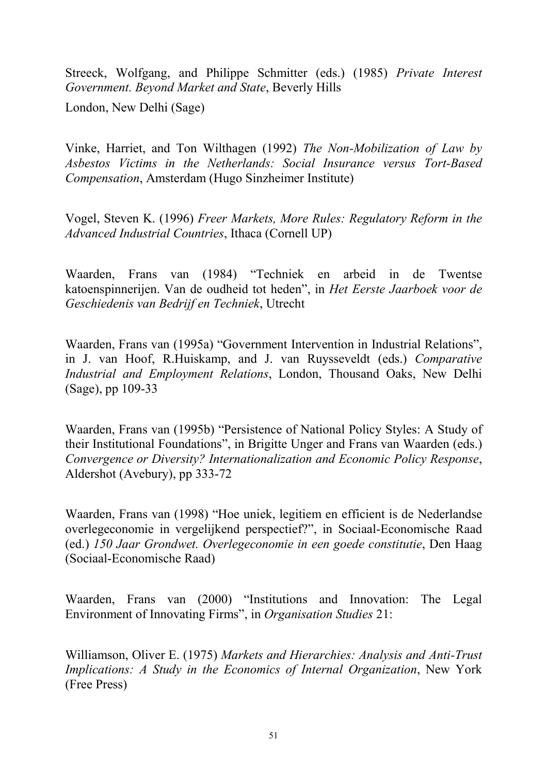Streeck, Wolfgang, and Philippe Schmitter (eds.) (1985) *Private Interest Government. Beyond Market and State*, Beverly Hills

London, New Delhi (Sage)

Vinke, Harriet, and Ton Wilthagen (1992) *The Non-Mobilization of Law by Asbestos Victims in the Netherlands: Social Insurance versus Tort-Based Compensation*, Amsterdam (Hugo Sinzheimer Institute)

Vogel, Steven K. (1996) *Freer Markets, More Rules: Regulatory Reform in the Advanced Industrial Countries*, Ithaca (Cornell UP)

Waarden, Frans van (1984) "Techniek en arbeid in de Twentse katoenspinnerijen. Van de oudheid tot heden", in *Het Eerste Jaarboek voor de Geschiedenis van Bedrijf en Techniek*, Utrecht

Waarden, Frans van (1995a) "Government Intervention in Industrial Relations", in J. van Hoof, R.Huiskamp, and J. van Ruysseveldt (eds.) *Comparative Industrial and Employment Relations*, London, Thousand Oaks, New Delhi (Sage), pp 109-33

Waarden, Frans van (1995b) "Persistence of National Policy Styles: A Study of their Institutional Foundations", in Brigitte Unger and Frans van Waarden (eds.) *Convergence or Diversity? Internationalization and Economic Policy Response*, Aldershot (Avebury), pp 333-72

Waarden, Frans van (1998) "Hoe uniek, legitiem en efficient is de Nederlandse overlegeconomie in vergelijkend perspectief?", in Sociaal-Economische Raad (ed.) *150 Jaar Grondwet. Overlegeconomie in een goede constitutie*, Den Haag (Sociaal-Economische Raad)

Waarden, Frans van (2000) "Institutions and Innovation: The Legal Environment of Innovating Firms", in *Organisation Studies* 21:

Williamson, Oliver E. (1975) *Markets and Hierarchies: Analysis and Anti-Trust Implications: A Study in the Economics of Internal Organization*, New York (Free Press)